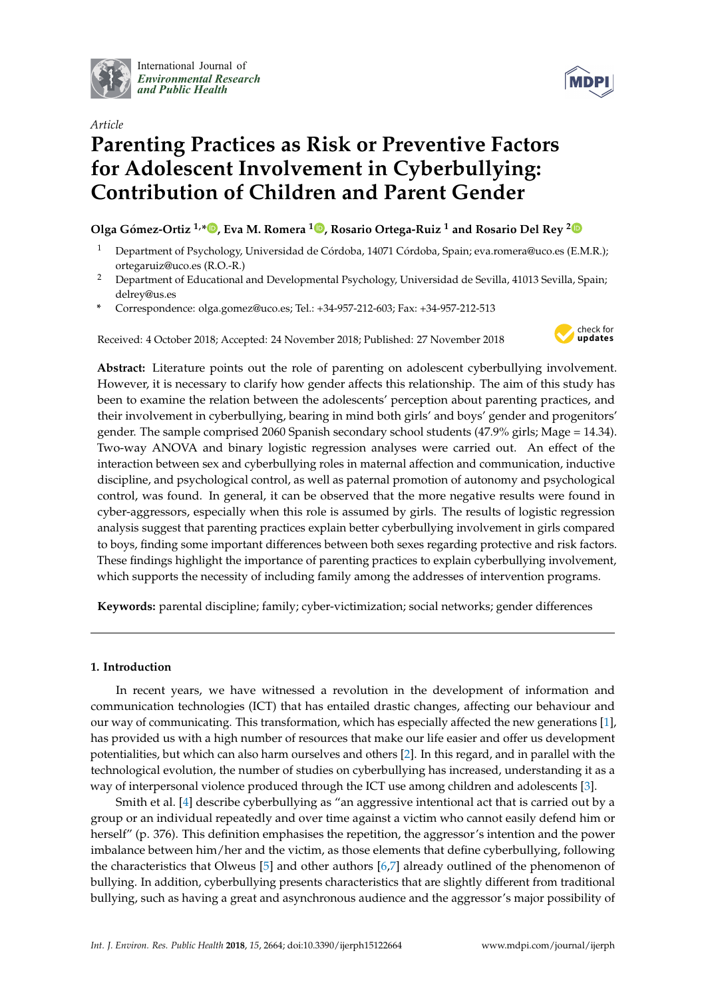

International Journal of *[Environmental Research](http://www.mdpi.com/journal/ijerph) and Public Health*



# *Article* **Parenting Practices as Risk or Preventive Factors for Adolescent Involvement in Cyberbullying: Contribution of Children and Parent Gender**

# **Olga Gómez-Ortiz 1,\* [,](https://orcid.org/0000-0002-3925-2104) Eva M. Romera <sup>1</sup> [,](https://orcid.org/0000-0002-9414-8019) Rosario Ortega-Ruiz <sup>1</sup> and Rosario Del Rey [2](https://orcid.org/0000-0002-1907-5489)**

- <sup>1</sup> Department of Psychology, Universidad de Córdoba, 14071 Córdoba, Spain; eva.romera@uco.es (E.M.R.); ortegaruiz@uco.es (R.O.-R.)
- <sup>2</sup> Department of Educational and Developmental Psychology, Universidad de Sevilla, 41013 Sevilla, Spain; delrey@us.es
- **\*** Correspondence: olga.gomez@uco.es; Tel.: +34-957-212-603; Fax: +34-957-212-513

Received: 4 October 2018; Accepted: 24 November 2018; Published: 27 November 2018



**Abstract:** Literature points out the role of parenting on adolescent cyberbullying involvement. However, it is necessary to clarify how gender affects this relationship. The aim of this study has been to examine the relation between the adolescents' perception about parenting practices, and their involvement in cyberbullying, bearing in mind both girls' and boys' gender and progenitors' gender. The sample comprised 2060 Spanish secondary school students (47.9% girls; Mage = 14.34). Two-way ANOVA and binary logistic regression analyses were carried out. An effect of the interaction between sex and cyberbullying roles in maternal affection and communication, inductive discipline, and psychological control, as well as paternal promotion of autonomy and psychological control, was found. In general, it can be observed that the more negative results were found in cyber-aggressors, especially when this role is assumed by girls. The results of logistic regression analysis suggest that parenting practices explain better cyberbullying involvement in girls compared to boys, finding some important differences between both sexes regarding protective and risk factors. These findings highlight the importance of parenting practices to explain cyberbullying involvement, which supports the necessity of including family among the addresses of intervention programs.

**Keywords:** parental discipline; family; cyber-victimization; social networks; gender differences

# **1. Introduction**

In recent years, we have witnessed a revolution in the development of information and communication technologies (ICT) that has entailed drastic changes, affecting our behaviour and our way of communicating. This transformation, which has especially affected the new generations [\[1\]](#page-20-0), has provided us with a high number of resources that make our life easier and offer us development potentialities, but which can also harm ourselves and others [\[2\]](#page-20-1). In this regard, and in parallel with the technological evolution, the number of studies on cyberbullying has increased, understanding it as a way of interpersonal violence produced through the ICT use among children and adolescents [\[3\]](#page-20-2).

Smith et al. [\[4\]](#page-20-3) describe cyberbullying as "an aggressive intentional act that is carried out by a group or an individual repeatedly and over time against a victim who cannot easily defend him or herself" (p. 376). This definition emphasises the repetition, the aggressor's intention and the power imbalance between him/her and the victim, as those elements that define cyberbullying, following the characteristics that Olweus [\[5\]](#page-20-4) and other authors [\[6](#page-20-5)[,7\]](#page-20-6) already outlined of the phenomenon of bullying. In addition, cyberbullying presents characteristics that are slightly different from traditional bullying, such as having a great and asynchronous audience and the aggressor's major possibility of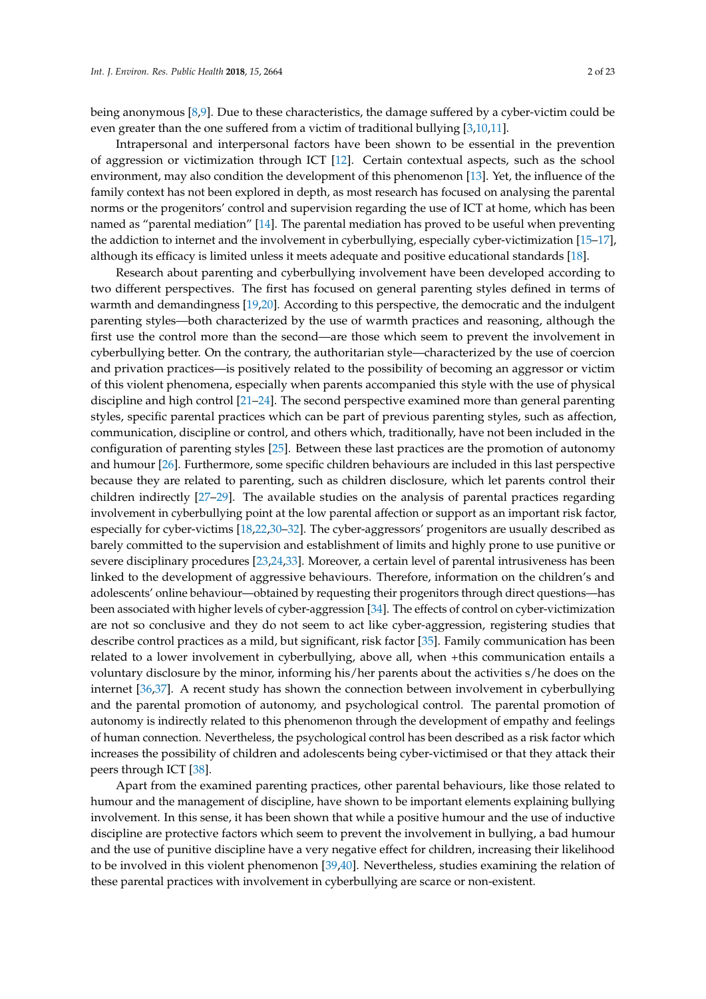being anonymous [\[8](#page-20-7)[,9\]](#page-20-8). Due to these characteristics, the damage suffered by a cyber-victim could be even greater than the one suffered from a victim of traditional bullying [\[3](#page-20-2)[,10](#page-20-9)[,11\]](#page-20-10).

Intrapersonal and interpersonal factors have been shown to be essential in the prevention of aggression or victimization through ICT [\[12\]](#page-20-11). Certain contextual aspects, such as the school environment, may also condition the development of this phenomenon [\[13\]](#page-20-12). Yet, the influence of the family context has not been explored in depth, as most research has focused on analysing the parental norms or the progenitors' control and supervision regarding the use of ICT at home, which has been named as "parental mediation" [\[14\]](#page-20-13). The parental mediation has proved to be useful when preventing the addiction to internet and the involvement in cyberbullying, especially cyber-victimization [\[15](#page-20-14)[–17\]](#page-21-0), although its efficacy is limited unless it meets adequate and positive educational standards [\[18\]](#page-21-1).

Research about parenting and cyberbullying involvement have been developed according to two different perspectives. The first has focused on general parenting styles defined in terms of warmth and demandingness [\[19](#page-21-2)[,20\]](#page-21-3). According to this perspective, the democratic and the indulgent parenting styles—both characterized by the use of warmth practices and reasoning, although the first use the control more than the second—are those which seem to prevent the involvement in cyberbullying better. On the contrary, the authoritarian style—characterized by the use of coercion and privation practices—is positively related to the possibility of becoming an aggressor or victim of this violent phenomena, especially when parents accompanied this style with the use of physical discipline and high control [\[21–](#page-21-4)[24\]](#page-21-5). The second perspective examined more than general parenting styles, specific parental practices which can be part of previous parenting styles, such as affection, communication, discipline or control, and others which, traditionally, have not been included in the configuration of parenting styles [\[25\]](#page-21-6). Between these last practices are the promotion of autonomy and humour [\[26\]](#page-21-7). Furthermore, some specific children behaviours are included in this last perspective because they are related to parenting, such as children disclosure, which let parents control their children indirectly [\[27](#page-21-8)[–29\]](#page-21-9). The available studies on the analysis of parental practices regarding involvement in cyberbullying point at the low parental affection or support as an important risk factor, especially for cyber-victims [\[18,](#page-21-1)[22,](#page-21-10)[30–](#page-21-11)[32\]](#page-21-12). The cyber-aggressors' progenitors are usually described as barely committed to the supervision and establishment of limits and highly prone to use punitive or severe disciplinary procedures [\[23,](#page-21-13)[24,](#page-21-5)[33\]](#page-21-14). Moreover, a certain level of parental intrusiveness has been linked to the development of aggressive behaviours. Therefore, information on the children's and adolescents' online behaviour—obtained by requesting their progenitors through direct questions—has been associated with higher levels of cyber-aggression [\[34\]](#page-21-15). The effects of control on cyber-victimization are not so conclusive and they do not seem to act like cyber-aggression, registering studies that describe control practices as a mild, but significant, risk factor [\[35\]](#page-21-16). Family communication has been related to a lower involvement in cyberbullying, above all, when +this communication entails a voluntary disclosure by the minor, informing his/her parents about the activities s/he does on the internet [\[36,](#page-21-17)[37\]](#page-21-18). A recent study has shown the connection between involvement in cyberbullying and the parental promotion of autonomy, and psychological control. The parental promotion of autonomy is indirectly related to this phenomenon through the development of empathy and feelings of human connection. Nevertheless, the psychological control has been described as a risk factor which increases the possibility of children and adolescents being cyber-victimised or that they attack their peers through ICT [\[38\]](#page-21-19).

Apart from the examined parenting practices, other parental behaviours, like those related to humour and the management of discipline, have shown to be important elements explaining bullying involvement. In this sense, it has been shown that while a positive humour and the use of inductive discipline are protective factors which seem to prevent the involvement in bullying, a bad humour and the use of punitive discipline have a very negative effect for children, increasing their likelihood to be involved in this violent phenomenon [\[39,](#page-21-20)[40\]](#page-21-21). Nevertheless, studies examining the relation of these parental practices with involvement in cyberbullying are scarce or non-existent.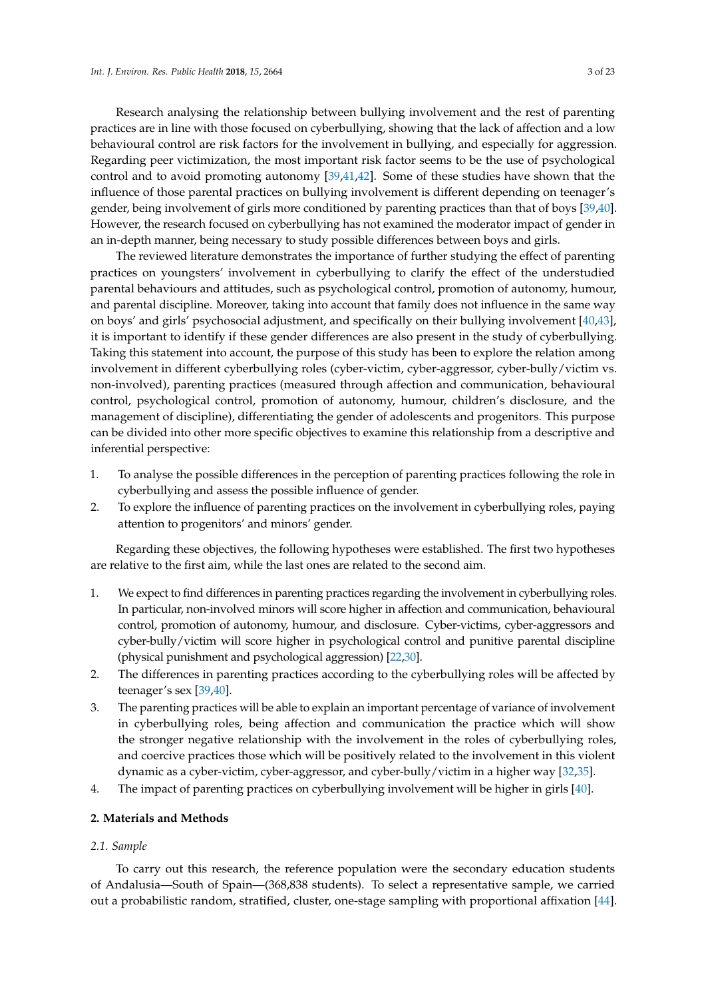Research analysing the relationship between bullying involvement and the rest of parenting practices are in line with those focused on cyberbullying, showing that the lack of affection and a low behavioural control are risk factors for the involvement in bullying, and especially for aggression. Regarding peer victimization, the most important risk factor seems to be the use of psychological control and to avoid promoting autonomy [\[39](#page-21-20)[,41](#page-22-0)[,42\]](#page-22-1). Some of these studies have shown that the influence of those parental practices on bullying involvement is different depending on teenager's gender, being involvement of girls more conditioned by parenting practices than that of boys [\[39,](#page-21-20)[40\]](#page-21-21). However, the research focused on cyberbullying has not examined the moderator impact of gender in an in-depth manner, being necessary to study possible differences between boys and girls.

The reviewed literature demonstrates the importance of further studying the effect of parenting practices on youngsters' involvement in cyberbullying to clarify the effect of the understudied parental behaviours and attitudes, such as psychological control, promotion of autonomy, humour, and parental discipline. Moreover, taking into account that family does not influence in the same way on boys' and girls' psychosocial adjustment, and specifically on their bullying involvement [\[40,](#page-21-21)[43\]](#page-22-2), it is important to identify if these gender differences are also present in the study of cyberbullying. Taking this statement into account, the purpose of this study has been to explore the relation among involvement in different cyberbullying roles (cyber-victim, cyber-aggressor, cyber-bully/victim vs. non-involved), parenting practices (measured through affection and communication, behavioural control, psychological control, promotion of autonomy, humour, children's disclosure, and the management of discipline), differentiating the gender of adolescents and progenitors. This purpose can be divided into other more specific objectives to examine this relationship from a descriptive and inferential perspective:

- 1. To analyse the possible differences in the perception of parenting practices following the role in cyberbullying and assess the possible influence of gender.
- 2. To explore the influence of parenting practices on the involvement in cyberbullying roles, paying attention to progenitors' and minors' gender.

Regarding these objectives, the following hypotheses were established. The first two hypotheses are relative to the first aim, while the last ones are related to the second aim.

- 1. We expect to find differences in parenting practices regarding the involvement in cyberbullying roles. In particular, non-involved minors will score higher in affection and communication, behavioural control, promotion of autonomy, humour, and disclosure. Cyber-victims, cyber-aggressors and cyber-bully/victim will score higher in psychological control and punitive parental discipline (physical punishment and psychological aggression) [\[22,](#page-21-10)[30\]](#page-21-11).
- 2. The differences in parenting practices according to the cyberbullying roles will be affected by teenager's sex [\[39,](#page-21-20)[40\]](#page-21-21).
- 3. The parenting practices will be able to explain an important percentage of variance of involvement in cyberbullying roles, being affection and communication the practice which will show the stronger negative relationship with the involvement in the roles of cyberbullying roles, and coercive practices those which will be positively related to the involvement in this violent dynamic as a cyber-victim, cyber-aggressor, and cyber-bully/victim in a higher way [\[32](#page-21-12)[,35\]](#page-21-16).
- 4. The impact of parenting practices on cyberbullying involvement will be higher in girls [\[40\]](#page-21-21).

### **2. Materials and Methods**

#### *2.1. Sample*

To carry out this research, the reference population were the secondary education students of Andalusia—South of Spain—(368,838 students). To select a representative sample, we carried out a probabilistic random, stratified, cluster, one-stage sampling with proportional affixation [\[44\]](#page-22-3).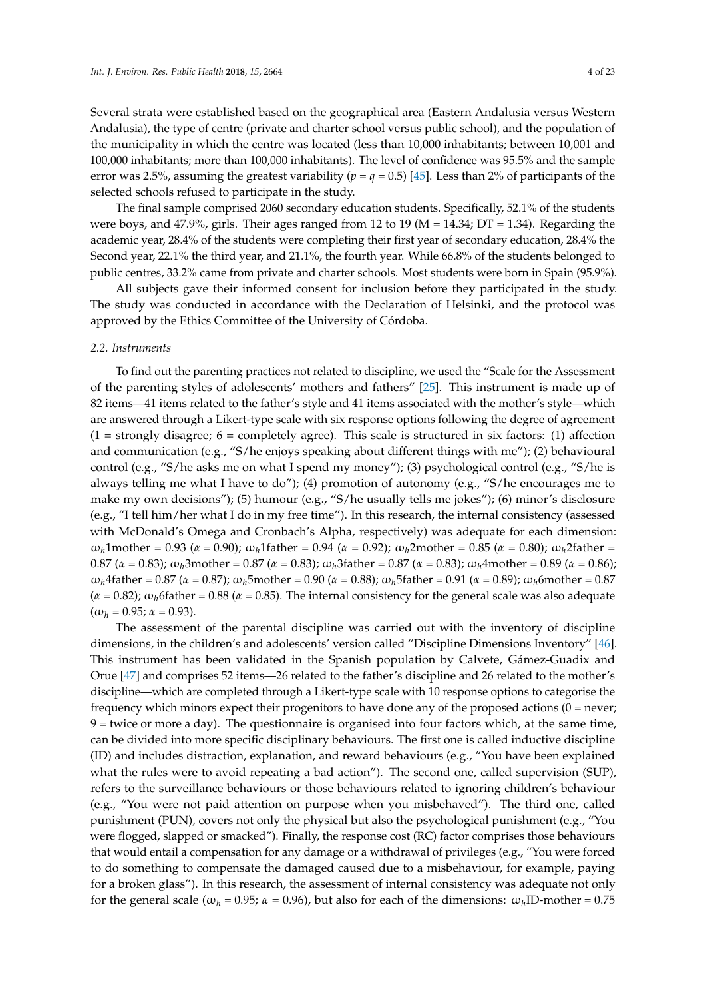Several strata were established based on the geographical area (Eastern Andalusia versus Western Andalusia), the type of centre (private and charter school versus public school), and the population of the municipality in which the centre was located (less than 10,000 inhabitants; between 10,001 and 100,000 inhabitants; more than 100,000 inhabitants). The level of confidence was 95.5% and the sample error was 2.5%, assuming the greatest variability ( $p = q = 0.5$ ) [\[45\]](#page-22-4). Less than 2% of participants of the selected schools refused to participate in the study.

The final sample comprised 2060 secondary education students. Specifically, 52.1% of the students were boys, and 47.9%, girls. Their ages ranged from 12 to 19 ( $M = 14.34$ ;  $DT = 1.34$ ). Regarding the academic year, 28.4% of the students were completing their first year of secondary education, 28.4% the Second year, 22.1% the third year, and 21.1%, the fourth year. While 66.8% of the students belonged to public centres, 33.2% came from private and charter schools. Most students were born in Spain (95.9%).

All subjects gave their informed consent for inclusion before they participated in the study. The study was conducted in accordance with the Declaration of Helsinki, and the protocol was approved by the Ethics Committee of the University of Córdoba.

#### *2.2. Instruments*

To find out the parenting practices not related to discipline, we used the "Scale for the Assessment of the parenting styles of adolescents' mothers and fathers" [\[25\]](#page-21-6). This instrument is made up of 82 items—41 items related to the father's style and 41 items associated with the mother's style—which are answered through a Likert-type scale with six response options following the degree of agreement  $(1 =$  strongly disagree;  $6 =$  completely agree). This scale is structured in six factors: (1) affection and communication (e.g., "S/he enjoys speaking about different things with me"); (2) behavioural control (e.g., "S/he asks me on what I spend my money"); (3) psychological control (e.g., "S/he is always telling me what I have to do"); (4) promotion of autonomy (e.g., "S/he encourages me to make my own decisions"); (5) humour (e.g., "S/he usually tells me jokes"); (6) minor's disclosure (e.g., "I tell him/her what I do in my free time"). In this research, the internal consistency (assessed with McDonald's Omega and Cronbach's Alpha, respectively) was adequate for each dimension: ω*h*1mother = 0.93 (*α* = 0.90); ω*h*1father = 0.94 (*α* = 0.92); ω*h*2mother = 0.85 (*α* = 0.80); ω*h*2father = 0.87 (*α* = 0.83); ω*h*3mother = 0.87 (*α* = 0.83); ω*h*3father = 0.87 (*α* = 0.83); ω*h*4mother = 0.89 (*α* = 0.86); ω*h*4father = 0.87 (*α* = 0.87); ω*h*5mother = 0.90 (*α* = 0.88); ω*h*5father = 0.91 (*α* = 0.89); ω*h*6mother = 0.87  $(\alpha = 0.82)$ ;  $\omega_h$ 6father = 0.88 ( $\alpha = 0.85$ ). The internal consistency for the general scale was also adequate  $(\omega_h = 0.95; \alpha = 0.93).$ 

The assessment of the parental discipline was carried out with the inventory of discipline dimensions, in the children's and adolescents' version called "Discipline Dimensions Inventory" [\[46\]](#page-22-5). This instrument has been validated in the Spanish population by Calvete, Gámez-Guadix and Orue [\[47\]](#page-22-6) and comprises 52 items—26 related to the father's discipline and 26 related to the mother's discipline—which are completed through a Likert-type scale with 10 response options to categorise the frequency which minors expect their progenitors to have done any of the proposed actions (0 = never; 9 = twice or more a day). The questionnaire is organised into four factors which, at the same time, can be divided into more specific disciplinary behaviours. The first one is called inductive discipline (ID) and includes distraction, explanation, and reward behaviours (e.g., "You have been explained what the rules were to avoid repeating a bad action"). The second one, called supervision (SUP), refers to the surveillance behaviours or those behaviours related to ignoring children's behaviour (e.g., "You were not paid attention on purpose when you misbehaved"). The third one, called punishment (PUN), covers not only the physical but also the psychological punishment (e.g., "You were flogged, slapped or smacked"). Finally, the response cost (RC) factor comprises those behaviours that would entail a compensation for any damage or a withdrawal of privileges (e.g., "You were forced to do something to compensate the damaged caused due to a misbehaviour, for example, paying for a broken glass"). In this research, the assessment of internal consistency was adequate not only for the general scale ( $\omega_h$  = 0.95;  $\alpha$  = 0.96), but also for each of the dimensions:  $\omega_h$ ID-mother = 0.75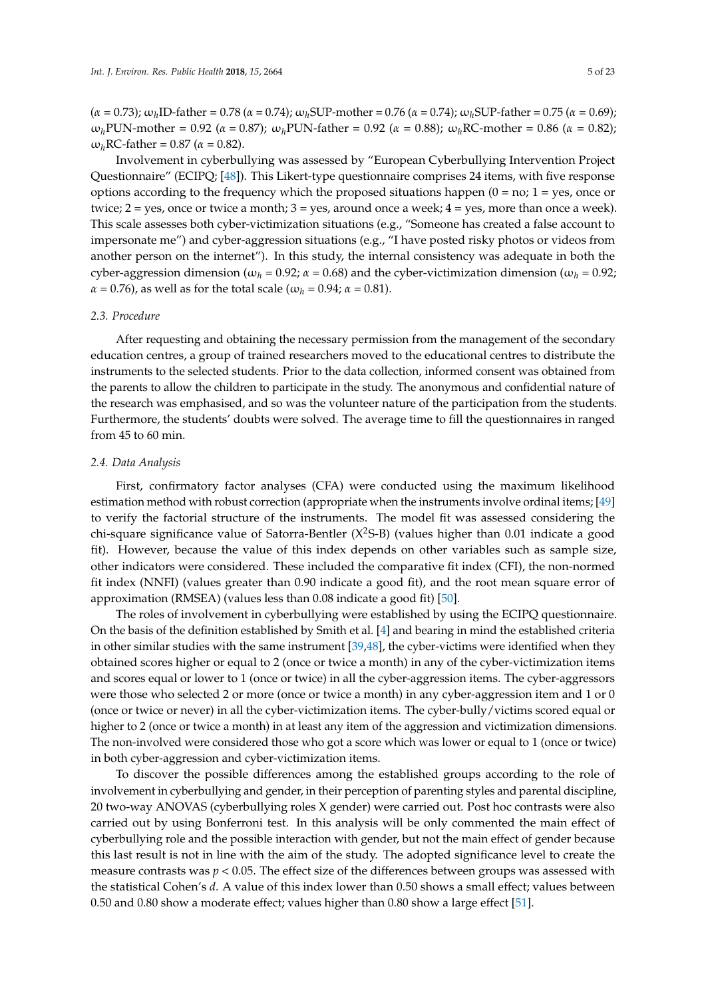(*α* = 0.73); ω*<sup>h</sup>* ID-father = 0.78 (*α* = 0.74); ω*h*SUP-mother = 0.76 (*α* = 0.74); ω*h*SUP-father = 0.75 (*α* = 0.69); ω*h*PUN-mother = 0.92 (*α* = 0.87); ω*h*PUN-father = 0.92 (*α* = 0.88); ω*h*RC-mother = 0.86 (*α* = 0.82);  $ω<sub>h</sub> RC-father = 0.87 (α = 0.82).$ 

Involvement in cyberbullying was assessed by "European Cyberbullying Intervention Project Questionnaire" (ECIPQ; [\[48\]](#page-22-7)). This Likert-type questionnaire comprises 24 items, with five response options according to the frequency which the proposed situations happen  $(0 = no; 1 = yes)$ , once or twice;  $2 = yes$ , once or twice a month;  $3 = yes$ , around once a week;  $4 = yes$ , more than once a week). This scale assesses both cyber-victimization situations (e.g., "Someone has created a false account to impersonate me") and cyber-aggression situations (e.g., "I have posted risky photos or videos from another person on the internet"). In this study, the internal consistency was adequate in both the cyber-aggression dimension ( $\omega_h$  = 0.92;  $\alpha$  = 0.68) and the cyber-victimization dimension ( $\omega_h$  = 0.92; *α* = 0.76), as well as for the total scale ( $ω_h$  = 0.94; *α* = 0.81).

#### *2.3. Procedure*

After requesting and obtaining the necessary permission from the management of the secondary education centres, a group of trained researchers moved to the educational centres to distribute the instruments to the selected students. Prior to the data collection, informed consent was obtained from the parents to allow the children to participate in the study. The anonymous and confidential nature of the research was emphasised, and so was the volunteer nature of the participation from the students. Furthermore, the students' doubts were solved. The average time to fill the questionnaires in ranged from 45 to 60 min.

#### *2.4. Data Analysis*

First, confirmatory factor analyses (CFA) were conducted using the maximum likelihood estimation method with robust correction (appropriate when the instruments involve ordinal items; [\[49\]](#page-22-8) to verify the factorial structure of the instruments. The model fit was assessed considering the chi-square significance value of Satorra-Bentler ( $X^2S-B$ ) (values higher than 0.01 indicate a good fit). However, because the value of this index depends on other variables such as sample size, other indicators were considered. These included the comparative fit index (CFI), the non-normed fit index (NNFI) (values greater than 0.90 indicate a good fit), and the root mean square error of approximation (RMSEA) (values less than 0.08 indicate a good fit) [\[50\]](#page-22-9).

The roles of involvement in cyberbullying were established by using the ECIPQ questionnaire. On the basis of the definition established by Smith et al. [\[4\]](#page-20-3) and bearing in mind the established criteria in other similar studies with the same instrument [\[39,](#page-21-20)[48\]](#page-22-7), the cyber-victims were identified when they obtained scores higher or equal to 2 (once or twice a month) in any of the cyber-victimization items and scores equal or lower to 1 (once or twice) in all the cyber-aggression items. The cyber-aggressors were those who selected 2 or more (once or twice a month) in any cyber-aggression item and 1 or 0 (once or twice or never) in all the cyber-victimization items. The cyber-bully/victims scored equal or higher to 2 (once or twice a month) in at least any item of the aggression and victimization dimensions. The non-involved were considered those who got a score which was lower or equal to 1 (once or twice) in both cyber-aggression and cyber-victimization items.

To discover the possible differences among the established groups according to the role of involvement in cyberbullying and gender, in their perception of parenting styles and parental discipline, 20 two-way ANOVAS (cyberbullying roles X gender) were carried out. Post hoc contrasts were also carried out by using Bonferroni test. In this analysis will be only commented the main effect of cyberbullying role and the possible interaction with gender, but not the main effect of gender because this last result is not in line with the aim of the study. The adopted significance level to create the measure contrasts was *p* < 0.05. The effect size of the differences between groups was assessed with the statistical Cohen's *d*. A value of this index lower than 0.50 shows a small effect; values between 0.50 and 0.80 show a moderate effect; values higher than 0.80 show a large effect [\[51\]](#page-22-10).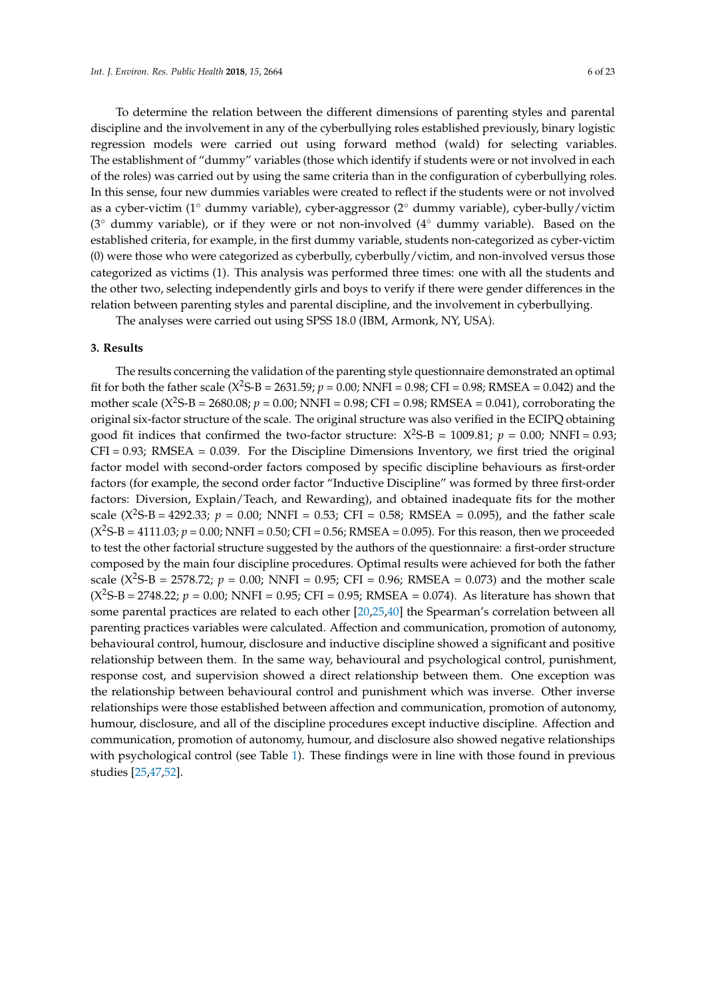To determine the relation between the different dimensions of parenting styles and parental discipline and the involvement in any of the cyberbullying roles established previously, binary logistic regression models were carried out using forward method (wald) for selecting variables. The establishment of "dummy" variables (those which identify if students were or not involved in each of the roles) was carried out by using the same criteria than in the configuration of cyberbullying roles. In this sense, four new dummies variables were created to reflect if the students were or not involved as a cyber-victim (1◦ dummy variable), cyber-aggressor (2◦ dummy variable), cyber-bully/victim (3◦ dummy variable), or if they were or not non-involved (4◦ dummy variable). Based on the established criteria, for example, in the first dummy variable, students non-categorized as cyber-victim (0) were those who were categorized as cyberbully, cyberbully/victim, and non-involved versus those categorized as victims (1). This analysis was performed three times: one with all the students and the other two, selecting independently girls and boys to verify if there were gender differences in the relation between parenting styles and parental discipline, and the involvement in cyberbullying.

The analyses were carried out using SPSS 18.0 (IBM, Armonk, NY, USA).

## **3. Results**

The results concerning the validation of the parenting style questionnaire demonstrated an optimal fit for both the father scale ( $X^2S-B = 2631.59$ ;  $p = 0.00$ ; NNFI = 0.98; CFI = 0.98; RMSEA = 0.042) and the mother scale ( $X^2S-B = 2680.08$ ;  $p = 0.00$ ; NNFI = 0.98; CFI = 0.98; RMSEA = 0.041), corroborating the original six-factor structure of the scale. The original structure was also verified in the ECIPQ obtaining good fit indices that confirmed the two-factor structure:  $X^2S-B = 1009.81$ ;  $p = 0.00$ ; NNFI = 0.93;  $CFI = 0.93$ ; RMSEA = 0.039. For the Discipline Dimensions Inventory, we first tried the original factor model with second-order factors composed by specific discipline behaviours as first-order factors (for example, the second order factor "Inductive Discipline" was formed by three first-order factors: Diversion, Explain/Teach, and Rewarding), and obtained inadequate fits for the mother scale ( $X^2S-B = 4292.33$ ;  $p = 0.00$ ; NNFI = 0.53; CFI = 0.58; RMSEA = 0.095), and the father scale  $(X^2S-B = 4111.03; p = 0.00; NNFI = 0.50; CFI = 0.56; RMSEA = 0.095).$  For this reason, then we proceeded to test the other factorial structure suggested by the authors of the questionnaire: a first-order structure composed by the main four discipline procedures. Optimal results were achieved for both the father scale ( $X^2S-B = 2578.72$ ;  $p = 0.00$ ; NNFI = 0.95; CFI = 0.96; RMSEA = 0.073) and the mother scale  $(X^2S-B = 2748.22; p = 0.00; NNFI = 0.95; CFI = 0.95; RMSEA = 0.074).$  As literature has shown that some parental practices are related to each other [\[20,](#page-21-3)[25,](#page-21-6)[40\]](#page-21-21) the Spearman's correlation between all parenting practices variables were calculated. Affection and communication, promotion of autonomy, behavioural control, humour, disclosure and inductive discipline showed a significant and positive relationship between them. In the same way, behavioural and psychological control, punishment, response cost, and supervision showed a direct relationship between them. One exception was the relationship between behavioural control and punishment which was inverse. Other inverse relationships were those established between affection and communication, promotion of autonomy, humour, disclosure, and all of the discipline procedures except inductive discipline. Affection and communication, promotion of autonomy, humour, and disclosure also showed negative relationships with psychological control (see Table [1\)](#page-6-0). These findings were in line with those found in previous studies [\[25](#page-21-6)[,47,](#page-22-6)[52\]](#page-22-11).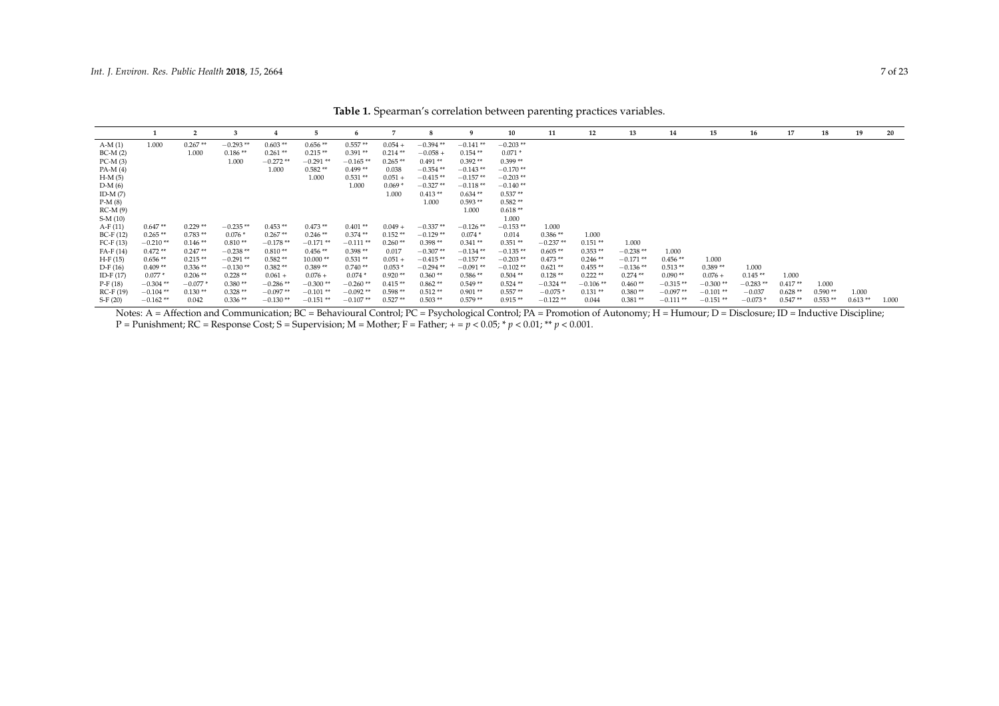|             |             | $\overline{2}$ |            |            | 5          | 6          |            | 8          | 9          | 10         | 11         | 12         | 13         | 14         | 15         | 16         | 17        | 18        | 19        | 20    |
|-------------|-------------|----------------|------------|------------|------------|------------|------------|------------|------------|------------|------------|------------|------------|------------|------------|------------|-----------|-----------|-----------|-------|
| $A-M(1)$    | 1.000       | $0.267**$      | $-0.293**$ | $0.603**$  | $0.656**$  | $0.557**$  | $0.054 +$  | $-0.394**$ | $-0.141**$ | $-0.203**$ |            |            |            |            |            |            |           |           |           |       |
| $BC-M(2)$   |             | 1.000          | $0.186**$  | $0.261**$  | $0.215**$  | $0.391**$  | $0.214**$  | $-0.058 +$ | $0.154**$  | $0.071*$   |            |            |            |            |            |            |           |           |           |       |
| $PC-M(3)$   |             |                | 1.000      | $-0.272**$ | $-0.291**$ | $-0.165**$ | $0.265$ ** | $0.491**$  | $0.392**$  | $0.399**$  |            |            |            |            |            |            |           |           |           |       |
| $PA-M(4)$   |             |                |            | 1.000      | $0.582**$  | $0.499**$  | 0.038      | $-0.354**$ | $-0.143**$ | $-0.170**$ |            |            |            |            |            |            |           |           |           |       |
| $H-M(5)$    |             |                |            |            | 1.000      | $0.531**$  | $0.051 +$  | $-0.415**$ | $-0.157**$ | $-0.203**$ |            |            |            |            |            |            |           |           |           |       |
| $D-M(6)$    |             |                |            |            |            | 1.000      | $0.069*$   | $-0.327**$ | $-0.118**$ | $-0.140**$ |            |            |            |            |            |            |           |           |           |       |
| ID-M $(7)$  |             |                |            |            |            |            | 1.000      | $0.413**$  | $0.634**$  | $0.537**$  |            |            |            |            |            |            |           |           |           |       |
| $P-M(8)$    |             |                |            |            |            |            |            | 1.000      | $0.593**$  | $0.582**$  |            |            |            |            |            |            |           |           |           |       |
| $RC-M(9)$   |             |                |            |            |            |            |            |            | 1.000      | $0.618**$  |            |            |            |            |            |            |           |           |           |       |
| $S-M(10)$   |             |                |            |            |            |            |            |            |            | 1.000      |            |            |            |            |            |            |           |           |           |       |
| $A-F(11)$   | $0.647**$   | $0.229**$      | $-0.235**$ | $0.453**$  | $0.473**$  | $0.401**$  | $0.049 +$  | $-0.337**$ | $-0.126**$ | $-0.153**$ | 1.000      |            |            |            |            |            |           |           |           |       |
| $BC-F(12)$  | $0.265**$   | $0.783**$      | $0.076*$   | $0.267**$  | $0.246$ ** | $0.374**$  | $0.152**$  | $-0.129**$ | $0.074*$   | 0.014      | $0.386**$  | 1.000      |            |            |            |            |           |           |           |       |
| $FC-F(13)$  | $-0.210**$  | $0.146**$      | $0.810**$  | $-0.178**$ | $-0.171**$ | $-0.111**$ | $0.260**$  | $0.398**$  | $0.341**$  | $0.351**$  | $-0.237**$ | $0.151**$  | 1.000      |            |            |            |           |           |           |       |
| $FA-F(14)$  | $0.472**$   | $0.247**$      | $-0.238**$ | $0.810**$  | $0.456**$  | $0.398**$  | 0.017      | $-0.307**$ | $-0.134**$ | $-0.135**$ | $0.605**$  | $0.353**$  | $-0.238**$ | 1.000      |            |            |           |           |           |       |
| $H-F(15)$   | $0.656**$   | $0.215**$      | $-0.291**$ | $0.582**$  | $10.000**$ | $0.531**$  | $0.051 +$  | $-0.415**$ | $-0.157**$ | $-0.203**$ | $0.473**$  | $0.246**$  | $-0.171**$ | $0.456**$  | 1.000      |            |           |           |           |       |
| $D-F(16)$   | $0.409**$   | $0.336**$      | $-0.130**$ | $0.382**$  | $0.389**$  | $0.740**$  | $0.053*$   | $-0.294**$ | $-0.091**$ | $-0.102**$ | $0.621**$  | $0.455**$  | $-0.136**$ | $0.513**$  | $0.389**$  | 1.000      |           |           |           |       |
| ID-F $(17)$ | $0.077*$    | $0.206$ **     | $0.228**$  | $0.061 +$  | $0.076 +$  | $0.074*$   | $0.920**$  | $0.360**$  | $0.586**$  | $0.504**$  | $0.128**$  | $0.222**$  | $0.274**$  | $0.090**$  | $0.076 +$  | $0.145**$  | 1.000     |           |           |       |
| $P-F(18)$   | $-0.304$ ** | $-0.077*$      | $0.380**$  | $-0.286**$ | $-0.300**$ | $-0.260**$ | $0.415**$  | $0.862**$  | $0.549**$  | $0.524**$  | $-0.324**$ | $-0.106**$ | $0.460**$  | $-0.315**$ | $-0.300**$ | $-0.283**$ | $0.417**$ | 1.000     |           |       |
| $RC-F(19)$  | $-0.104$ ** | $0.130**$      | $0.328**$  | $-0.097**$ | $-0.101**$ | $-0.092**$ | $0.598**$  | $0.512**$  | $0.901**$  | $0.557**$  | $-0.075*$  | $0.131**$  | $0.380**$  | $-0.097**$ | $-0.101**$ | $-0.037$   | $0.628**$ | $0.590**$ | 1.000     |       |
| $S-F(20)$   | $-0.162**$  | 0.042          | $0.336**$  | $-0.130**$ | $-0.151**$ | $-0.107**$ | $0.527**$  | $0.503**$  | $0.579**$  | $0.915**$  | $-0.122**$ | 0.044      | $0.381**$  | $-0.111**$ | $-0.151**$ | $-0.073$   | $0.547**$ | $0.553**$ | $0.613**$ | 1.000 |

**Table 1.** Spearman's correlation between parenting practices variables.

<span id="page-6-0"></span>Notes: A = Affection and Communication; BC = Behavioural Control; PC = Psychological Control; PA = Promotion of Autonomy; H = Humour; D = Disclosure; ID = Inductive Discipline; P = Punishment; RC = Response Cost; S = Supervision; M = Mother; F = Father; + = *p* < 0.05; \* *p* < 0.01; \*\* *p* < 0.001.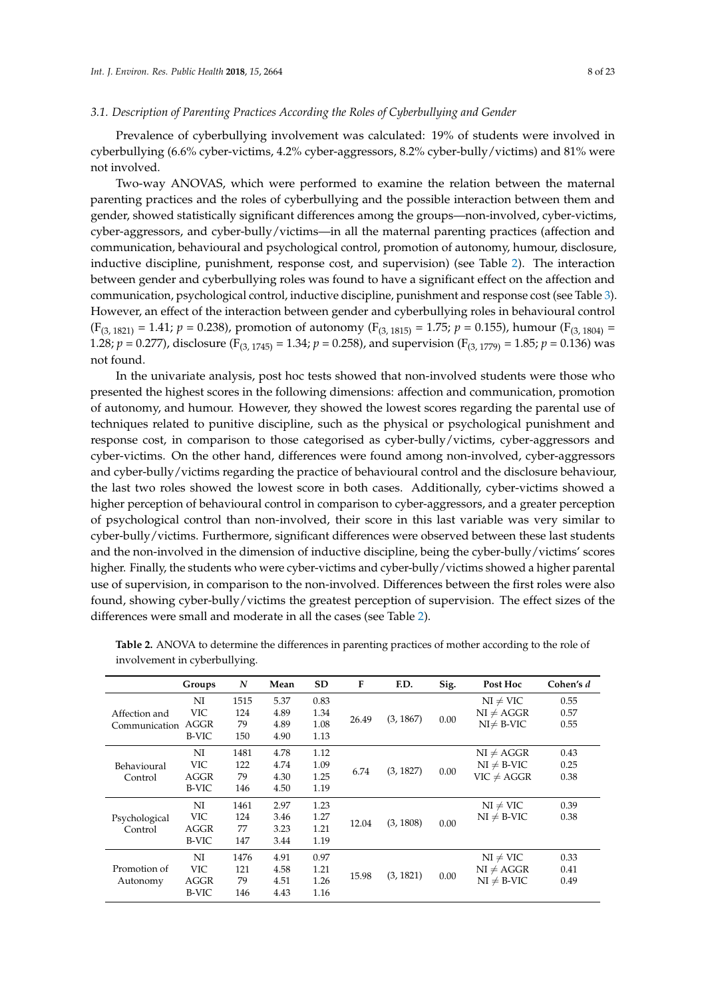#### *3.1. Description of Parenting Practices According the Roles of Cyberbullying and Gender*

Prevalence of cyberbullying involvement was calculated: 19% of students were involved in cyberbullying (6.6% cyber-victims, 4.2% cyber-aggressors, 8.2% cyber-bully/victims) and 81% were not involved.

Two-way ANOVAS, which were performed to examine the relation between the maternal parenting practices and the roles of cyberbullying and the possible interaction between them and gender, showed statistically significant differences among the groups—non-involved, cyber-victims, cyber-aggressors, and cyber-bully/victims—in all the maternal parenting practices (affection and communication, behavioural and psychological control, promotion of autonomy, humour, disclosure, inductive discipline, punishment, response cost, and supervision) (see Table [2\)](#page-8-0). The interaction between gender and cyberbullying roles was found to have a significant effect on the affection and communication, psychological control, inductive discipline, punishment and response cost (see Table [3\)](#page-9-0). However, an effect of the interaction between gender and cyberbullying roles in behavioural control  $(F_{(3, 1821)} = 1.41; p = 0.238)$ , promotion of autonomy  $(F_{(3, 1815)} = 1.75; p = 0.155)$ , humour  $(F_{(3, 1804)} =$ 1.28;  $p = 0.277$ ), disclosure (F<sub>(3, 1745)</sub> = 1.34;  $p = 0.258$ ), and supervision (F<sub>(3, 1779)</sub> = 1.85;  $p = 0.136$ ) was not found.

In the univariate analysis, post hoc tests showed that non-involved students were those who presented the highest scores in the following dimensions: affection and communication, promotion of autonomy, and humour. However, they showed the lowest scores regarding the parental use of techniques related to punitive discipline, such as the physical or psychological punishment and response cost, in comparison to those categorised as cyber-bully/victims, cyber-aggressors and cyber-victims. On the other hand, differences were found among non-involved, cyber-aggressors and cyber-bully/victims regarding the practice of behavioural control and the disclosure behaviour, the last two roles showed the lowest score in both cases. Additionally, cyber-victims showed a higher perception of behavioural control in comparison to cyber-aggressors, and a greater perception of psychological control than non-involved, their score in this last variable was very similar to cyber-bully/victims. Furthermore, significant differences were observed between these last students and the non-involved in the dimension of inductive discipline, being the cyber-bully/victims' scores higher. Finally, the students who were cyber-victims and cyber-bully/victims showed a higher parental use of supervision, in comparison to the non-involved. Differences between the first roles were also found, showing cyber-bully/victims the greatest perception of supervision. The effect sizes of the differences were small and moderate in all the cases (see Table [2\)](#page-8-0).

|                        | Groups     | N    | Mean | <b>SD</b> | F     | F.D.      | Sig. | Post Hoc        | Cohen's d |
|------------------------|------------|------|------|-----------|-------|-----------|------|-----------------|-----------|
|                        | NI         | 1515 | 5.37 | 0.83      |       |           |      | $NI \neq VIC$   | 0.55      |
| Affection and          | <b>VIC</b> | 124  | 4.89 | 1.34      |       | (3, 1867) |      | $NI \neq AGGR$  | 0.57      |
| Communication          | AGGR       | 79   | 4.89 | 1.08      | 26.49 |           | 0.00 | $NI \neq B-VIC$ | 0.55      |
|                        | B-VIC      | 150  | 4.90 | 1.13      |       |           |      |                 |           |
|                        | NI         | 1481 | 4.78 | 1.12      |       |           |      | $NI \neq AGGR$  | 0.43      |
| Behavioural<br>Control | <b>VIC</b> | 122  | 4.74 | 1.09      | 6.74  | (3, 1827) |      | $NI \neq B-VIC$ | 0.25      |
|                        | AGGR       | 79   | 4.30 | 1.25      |       |           | 0.00 | $VIC \neq AGGR$ | 0.38      |
|                        | B-VIC      | 146  | 4.50 | 1.19      |       |           |      |                 |           |
|                        | NI         | 1461 | 2.97 | 1.23      |       |           |      | $NI \neq VIC$   | 0.39      |
| Psychological          | <b>VIC</b> | 124  | 3.46 | 1.27      |       |           |      | $NI \neq B-VIC$ | 0.38      |
| Control                | AGGR       | 77   | 3.23 | 1.21      | 12.04 | (3, 1808) | 0.00 |                 |           |
|                        | B-VIC      | 147  | 3.44 | 1.19      |       |           |      |                 |           |
|                        | NI         | 1476 | 4.91 | 0.97      |       |           |      | $NI \neq VIC$   | 0.33      |
| Promotion of           | <b>VIC</b> | 121  | 4.58 | 1.21      |       |           |      | $NI \neq AGGR$  | 0.41      |
| Autonomy               | AGGR       | 79   | 4.51 | 1.26      | 15.98 | (3, 1821) | 0.00 | $NI \neq B-VIC$ | 0.49      |
|                        | B-VIC      | 146  | 4.43 | 1.16      |       |           |      |                 |           |

**Table 2.** ANOVA to determine the differences in parenting practices of mother according to the role of involvement in cyberbullying.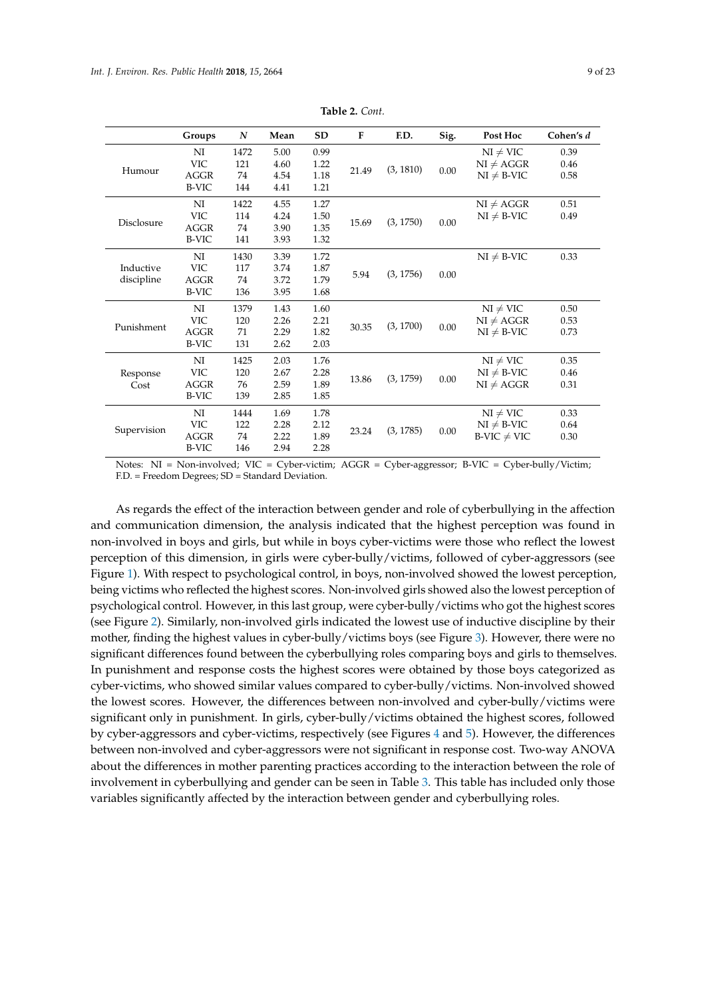<span id="page-8-0"></span>

|             | Groups       | $\boldsymbol{N}$ | Mean | <b>SD</b> | $\mathbf F$ | F.D.      | Sig. | Post Hoc         | Cohen's d |
|-------------|--------------|------------------|------|-----------|-------------|-----------|------|------------------|-----------|
|             | NI           | 1472             | 5.00 | 0.99      |             |           |      | $NI \neq VIC$    | 0.39      |
|             | <b>VIC</b>   | 121              | 4.60 | 1.22      |             |           | 0.00 | $NI \neq AGGR$   | 0.46      |
| Humour      | <b>AGGR</b>  | 74               | 4.54 | 1.18      | 21.49       | (3, 1810) |      | $NI \neq B-VIC$  | 0.58      |
|             | <b>B-VIC</b> | 144              | 4.41 | 1.21      |             |           |      |                  |           |
|             | NI           | 1422             | 4.55 | 1.27      |             |           |      | $NI \neq AGGR$   | 0.51      |
| Disclosure  | <b>VIC</b>   | 114              | 4.24 | 1.50      |             | (3, 1750) | 0.00 | $NI \neq B-VIC$  | 0.49      |
|             | <b>AGGR</b>  | 74               | 3.90 | 1.35      | 15.69       |           |      |                  |           |
|             | B-VIC        | 141              | 3.93 | 1.32      |             |           |      |                  |           |
|             | NI           | 1430             | 3.39 | 1.72      |             |           |      | $NI \neq B-VIC$  | 0.33      |
| Inductive   | <b>VIC</b>   | 117              | 3.74 | 1.87      |             |           |      |                  |           |
| discipline  | AGGR         | 74               | 3.72 | 1.79      | 5.94        | (3, 1756) | 0.00 |                  |           |
|             | B-VIC        | 136              | 3.95 | 1.68      |             |           |      |                  |           |
|             | NI           | 1379             | 1.43 | 1.60      |             |           |      | $NI \neq VIC$    | 0.50      |
|             | <b>VIC</b>   | 120              | 2.26 | 2.21      |             | (3, 1700) | 0.00 | $NI \neq AGGR$   | 0.53      |
| Punishment  | <b>AGGR</b>  | 71               | 2.29 | 1.82      | 30.35       |           |      | $NI \neq B-VIC$  | 0.73      |
|             | B-VIC        | 131              | 2.62 | 2.03      |             |           |      |                  |           |
|             | NI           | 1425             | 2.03 | 1.76      |             |           |      | $NI \neq VIC$    | 0.35      |
| Response    | <b>VIC</b>   | 120              | 2.67 | 2.28      |             | (3, 1759) |      | $NI \neq B-VIC$  | 0.46      |
| Cost        | AGGR         | 76               | 2.59 | 1.89      | 13.86       |           | 0.00 | $NI \neq AGGR$   | 0.31      |
|             | B-VIC        | 139              | 2.85 | 1.85      |             |           |      |                  |           |
|             | NI           | 1444             | 1.69 | 1.78      |             |           |      | $NI \neq VIC$    | 0.33      |
| Supervision | <b>VIC</b>   | 122              | 2.28 | 2.12      |             |           | 0.00 | $NI \neq B-VIC$  | 0.64      |
|             | AGGR         | 74               | 2.22 | 1.89      | 23.24       | (3, 1785) |      | $B-VIC \neq VIC$ | 0.30      |
|             | <b>B-VIC</b> | 146              | 2.94 | 2.28      |             |           |      |                  |           |

**Table 2.** *Cont.*

Notes: NI = Non-involved; VIC = Cyber-victim; AGGR = Cyber-aggressor; B-VIC = Cyber-bully/Victim; F.D. = Freedom Degrees; SD = Standard Deviation.

As regards the effect of the interaction between gender and role of cyberbullying in the affection and communication dimension, the analysis indicated that the highest perception was found in non-involved in boys and girls, but while in boys cyber-victims were those who reflect the lowest perception of this dimension, in girls were cyber-bully/victims, followed of cyber-aggressors (see Figure [1\)](#page-10-0). With respect to psychological control, in boys, non-involved showed the lowest perception, being victims who reflected the highest scores. Non-involved girls showed also the lowest perception of psychological control. However, in this last group, were cyber-bully/victims who got the highest scores (see Figure [2\)](#page-10-1). Similarly, non-involved girls indicated the lowest use of inductive discipline by their mother, finding the highest values in cyber-bully/victims boys (see Figure [3\)](#page-11-0). However, there were no significant differences found between the cyberbullying roles comparing boys and girls to themselves. In punishment and response costs the highest scores were obtained by those boys categorized as cyber-victims, who showed similar values compared to cyber-bully/victims. Non-involved showed the lowest scores. However, the differences between non-involved and cyber-bully/victims were significant only in punishment. In girls, cyber-bully/victims obtained the highest scores, followed by cyber-aggressors and cyber-victims, respectively (see Figures [4](#page-11-1) and [5\)](#page-12-0). However, the differences between non-involved and cyber-aggressors were not significant in response cost. Two-way ANOVA about the differences in mother parenting practices according to the interaction between the role of involvement in cyberbullying and gender can be seen in Table [3.](#page-9-0) This table has included only those variables significantly affected by the interaction between gender and cyberbullying roles.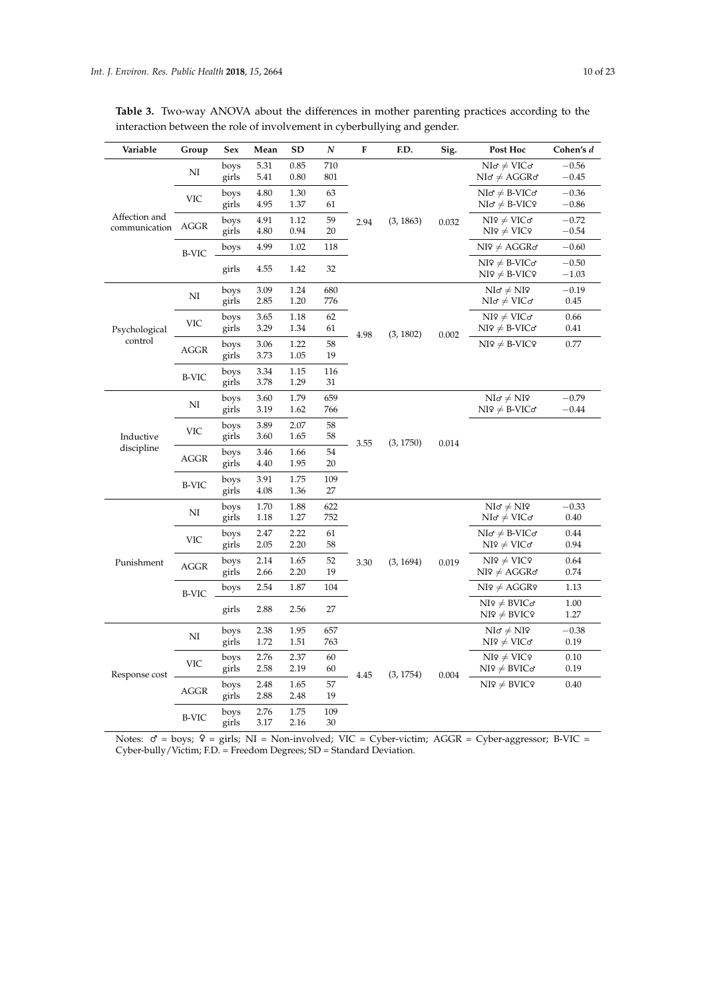| Variable                            | Group        | Sex           | Mean         | <b>SD</b>    | $\boldsymbol{N}$ | F    | F.D.      | Sig.  | Post Hoc                                                   | Cohen's d          |
|-------------------------------------|--------------|---------------|--------------|--------------|------------------|------|-----------|-------|------------------------------------------------------------|--------------------|
|                                     | NI           | boys<br>girls | 5.31<br>5.41 | 0.85<br>0.80 | 710<br>801       |      |           |       | $NI\sigma \neq VIC\sigma$<br>$NJ\sigma \neq AGGR\sigma$    | $-0.56$<br>$-0.45$ |
|                                     | <b>VIC</b>   | boys<br>girls | 4.80<br>4.95 | 1.30<br>1.37 | 63<br>61         |      |           |       | $NJ\sigma \neq B-VIC\sigma$<br>$NI\sigma \neq B-VIC$ ?     | $-0.36$<br>$-0.86$ |
| Affection and<br>communication AGGR |              | boys<br>girls | 4.91<br>4.80 | 1.12<br>0.94 | 59<br>20         | 2.94 | (3, 1863) | 0.032 | $NI9 \neq VIC$ ơ<br>$NI9 \neq VIC9$                        | $-0.72$<br>$-0.54$ |
|                                     | <b>B-VIC</b> | boys          | 4.99         | 1.02         | 118              |      |           |       | $NI^{\circ} \neq AGGR^{\circ}$                             | $-0.60$            |
|                                     |              | girls         | 4.55         | 1.42         | 32               |      |           |       | $NI9 \neq B-VIC$ ơ<br>$NI9 \neq B-VIC9$                    | $-0.50$<br>$-1.03$ |
|                                     | NI           | boys<br>girls | 3.09<br>2.85 | 1.24<br>1.20 | 680<br>776       |      |           |       | $NJ\sigma \neq NJ\Omega$<br>$N J \sigma \neq V I C \sigma$ | $-0.19$<br>0.45    |
| Psychological                       | <b>VIC</b>   | boys<br>girls | 3.65<br>3.29 | 1.18<br>1.34 | 62<br>61         | 4.98 | (3, 1802) | 0.002 | $NI9 \neq VIC\sigma$<br>$NI9 \neq B-VIC$ ơ                 | 0.66<br>0.41       |
| control                             | AGGR         | boys<br>girls | 3.06<br>3.73 | 1.22<br>1.05 | 58<br>19         |      |           |       | $NI9 \neq B-VIC9$                                          | 0.77               |
|                                     | <b>B-VIC</b> | boys<br>girls | 3.34<br>3.78 | 1.15<br>1.29 | 116<br>31        |      |           |       |                                                            |                    |
|                                     | NI           | boys<br>girls | 3.60<br>3.19 | 1.79<br>1.62 | 659<br>766       |      |           |       | $NI\sigma \neq NI\Omega$<br>$NI9 \neq B-VIC$ ơ             | $-0.79$<br>$-0.44$ |
| Inductive                           | <b>VIC</b>   | boys<br>girls | 3.89<br>3.60 | 2.07<br>1.65 | 58<br>58         | 3.55 | (3, 1750) | 0.014 |                                                            |                    |
| discipline                          | AGGR         | boys<br>girls | 3.46<br>4.40 | 1.66<br>1.95 | 54<br>20         |      |           |       |                                                            |                    |
|                                     | <b>B-VIC</b> | boys<br>girls | 3.91<br>4.08 | 1.75<br>1.36 | 109<br>27        |      |           |       |                                                            |                    |
|                                     | NI           | boys<br>girls | 1.70<br>1.18 | 1.88<br>1.27 | 622<br>752       |      |           |       | $NI\sigma \neq NI\Omega$<br>$NI\sigma \neq VIC\sigma$      | $-0.33$<br>0.40    |
|                                     | <b>VIC</b>   | boys<br>girls | 2.47<br>2.05 | 2.22<br>2.20 | 61<br>58         |      |           | 0.019 | $NJ\sigma \neq B-VIC\sigma$<br>$NI9 \neq VIC\sigma$        | 0.44<br>0.94       |
| Punishment                          | AGGR         | boys<br>girls | 2.14<br>2.66 | 1.65<br>2.20 | 52<br>19         | 3.30 | (3, 1694) |       | $NI9 \neq VIC9$<br>$NI9 \neq AGGR\sigma$                   | 0.64<br>0.74       |
|                                     | <b>B-VIC</b> | boys          | 2.54         | 1.87         | 104              |      |           |       | $NI9 \neq AGGR9$                                           | 1.13               |
|                                     |              | girls         | 2.88         | 2.56         | 27               |      |           |       | $NI9 \neq BVIC$ ơ<br>$NI9 \neq BVIC9$                      | 1.00<br>1.27       |
|                                     | NI           | boys<br>girls | 2.38<br>1.72 | 1.95<br>1.51 | 657<br>763       |      |           |       | $NI\sigma \neq NI\Omega$<br>$NI9 \neq VIC\sigma$           | $-0.38$<br>0.19    |
| Response cost                       | <b>VIC</b>   | boys<br>girls | 2.76<br>2.58 | 2.37<br>2.19 | 60<br>60         | 4.45 | (3, 1754) | 0.004 | $NI9 \neq VIC9$<br>$NI9 \neq BVIC\sigma$                   | 0.10<br>0.19       |
|                                     | AGGR         | boys<br>girls | 2.48<br>2.88 | 1.65<br>2.48 | 57<br>19         |      |           |       | $NI9 \neq BVIC9$                                           | 0.40               |
|                                     | <b>B-VIC</b> | boys<br>girls | 2.76<br>3.17 | 1.75<br>2.16 | 109<br>30        |      |           |       |                                                            |                    |

<span id="page-9-0"></span>**Table 3.** Two-way ANOVA about the differences in mother parenting practices according to the interaction between the role of involvement in cyberbullying and gender.

Notes: 0 = boys; 9 = girls; NI = Non-involved; VIC = Cyber-victim; AGGR = Cyber-aggressor; B-VIC = Cyber-bully/Victim; F.D. = Freedom Degrees; SD = Standard Deviation.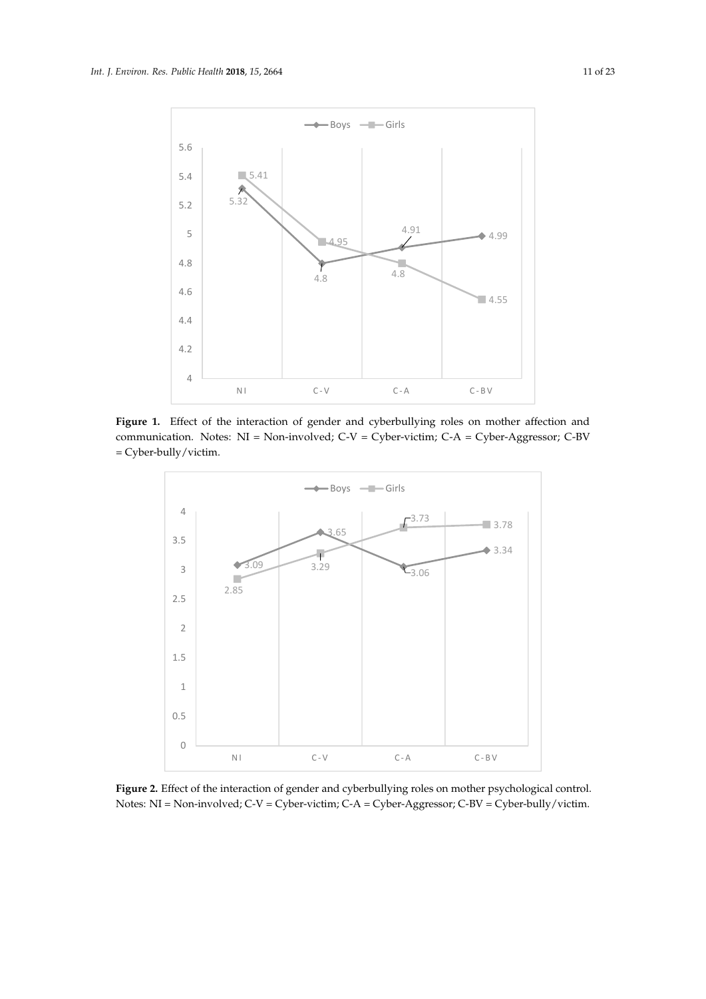<span id="page-10-0"></span>

<span id="page-10-1"></span>Figure 1. Effect of the interaction of gender and cyberbullying roles on mother affection and communication. Notes: NI = Non-involved; C-V = Cyber-victim; C-A = Cyber-Aggressor; C-BV<br>= Cyber-bully/victim. = Cyber-bully/victin



Figure 2. Effect of the interaction of gender and cyberbullying roles on mother psychological control. Notes: NI = Non-involved; C-V = Cyber-victim; C-A = Cyber-Aggressor; C-BV = Cyber-bully/victim.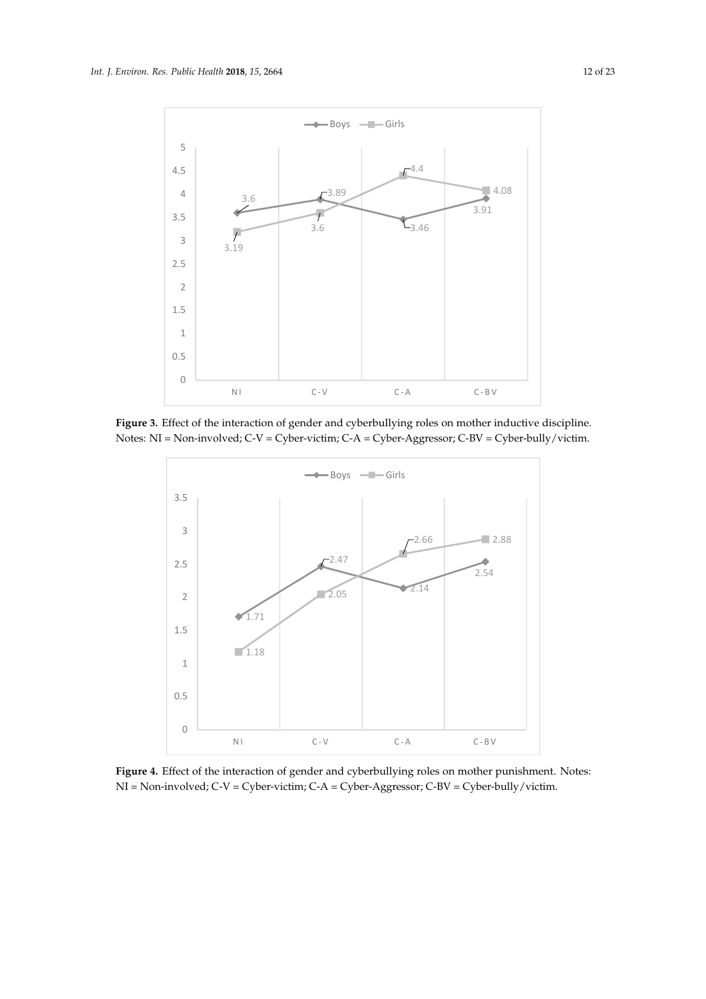<span id="page-11-0"></span>

<span id="page-11-1"></span>Figure 3. Effect of the interaction of gender and cyberbullying roles on mother inductive discipline. Notes: NI = Non-involved; C-V = Cyber-victim; C-A = Cyber-Aggressor; C-BV = Cyber-bully/victim.



Figure 4. Effect of the interaction of gender and cyberbullying roles on mother punishment. Notes: NI = Non-involved; C-V = Cyber-victim; C-A = Cyber-Aggressor; C-BV = Cyber-bully/victim.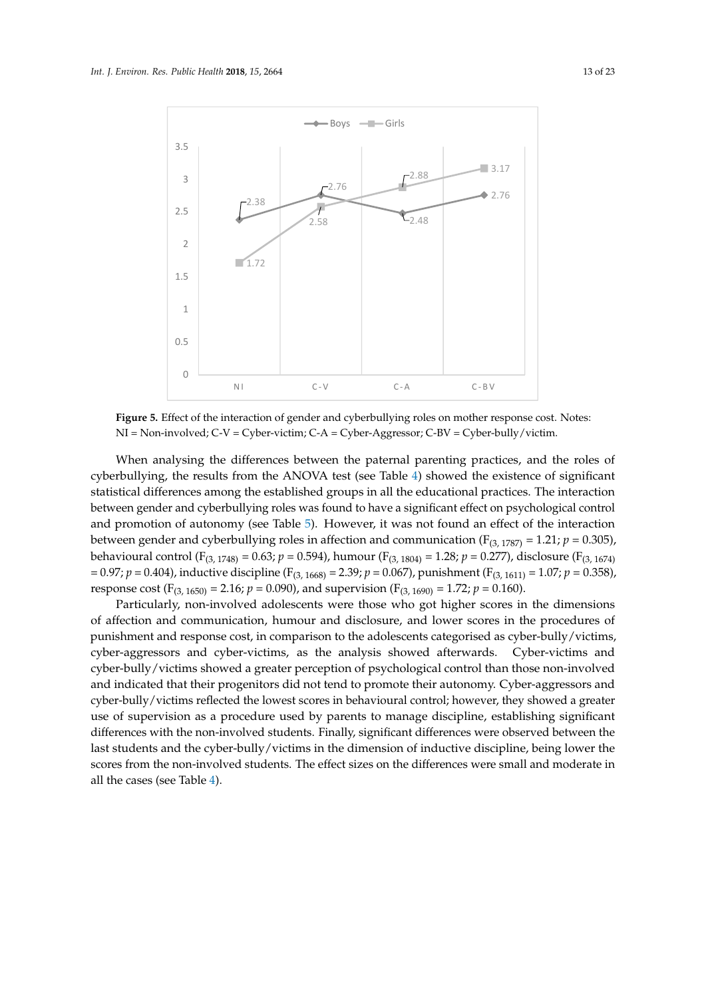<span id="page-12-0"></span>

**Figure 5.** Effect of the interaction of gender and cyberbullying roles on mother response cost. Notes: **Figure 5.** Effect of the interaction of gender and cyberbullying roles on mother response cost. Notes: NI = Non-involved; C-V = Cyber-victim; C-A = Cyber-Aggressor; C-BV = Cyber-bully/victim. NI = Non-involved; C-V = Cyber-victim; C-A = Cyber-Aggressor; C-BV = Cyber-bully/victim.

When analysing the differences between the paternal parenting practices, and the roles of When analysing the differences between the paternal parenting practices, and the roles of cyberbullying, the results from the ANOVA test (see Table 4) showed the existence of significant cyberbullying, the results from the ANOVA test (see Table [4\)](#page-13-0) showed the existence of significant<br>statistical differences among the established groups in all the educational practices. The interaction between gender and cyberbullying roles was found to have a significant effect on psychological between gender and cyberbullying roles was found to have a significant effect on psychological control<br>and promotion of autonomy (see Table 5). However, it was not found an effect of the interaction between gender and cyberbullying roles in affection and communication ( $F_{(3, 1787)} = 1.21$ ;  $p = 0.305$ ), behavioural control (F<sub>(3, 1748)</sub> = 0.63; p = 0.594), humour (F<sub>(3, 1804)</sub> = 1.28; p = 0.277), disclosure (F<sub>(3, 1674)</sub> = 0.97;  $p$  = 0.404), inductive discipline (F<sub>(3, 1668)</sub> = 2.39;  $p$  = 0.067), punishment (F<sub>(3, 1611)</sub> = 1.07;  $p$  = 0.358), response cost (F<sub>(3, 1650)</sub> = 2.16;  $p = 0.090$ ), and supervision (F<sub>(3, 1690)</sub> = 1.72;  $p = 0.160$ ).

Particularly, non-involved adolescents were those who got higher scores in the dimensions Particularly, non-involved adolescents were those who got higher scores in the dimensions<br>of affection and communication, humour and disclosure, and lower scores in the procedures of punishment and response cost, in comparison to the adolescents categorised as cyber-bully/victims, punishment and response cost, in comparison to the adolescents categorised as cyber-bully/victims, cyber-aggressors and cyber-victims, as the analysis showed afterwards. Cyber-victims and cyber-cyber-aggressors and cyber-victims, as the analysis showed afterwards. Cyber-victims and cyber-bully/victims showed a greater perception of psychological control than those non-involved cyber-bully/victims showed a greater perception of psychological control than those non-involved<br>and indicated that their progenitors did not tend to promote their autonomy. Cyber-aggressors and cyber-bully/victims reflected the lowest scores in behavioural control; however, they showed a greater cyber-bully/victims reflected the lowest scores in behavioural control; however, they showed a greater<br>use of supervision as a procedure used by parents to manage discipline, establishing significant differences with the non-involved students. Finally, significant differences were observed between the<br>last students and the cyber-bully/victims in the dimension of inductive discipline, being lower the last students and the cyber-bully/victims in the dimension of inductive discipline, being lower the scores from the non-involved students. The effect sizes on the differences were small and moderate in<br>all the cases (see Table 4). all the cases (see Table  $4$ ).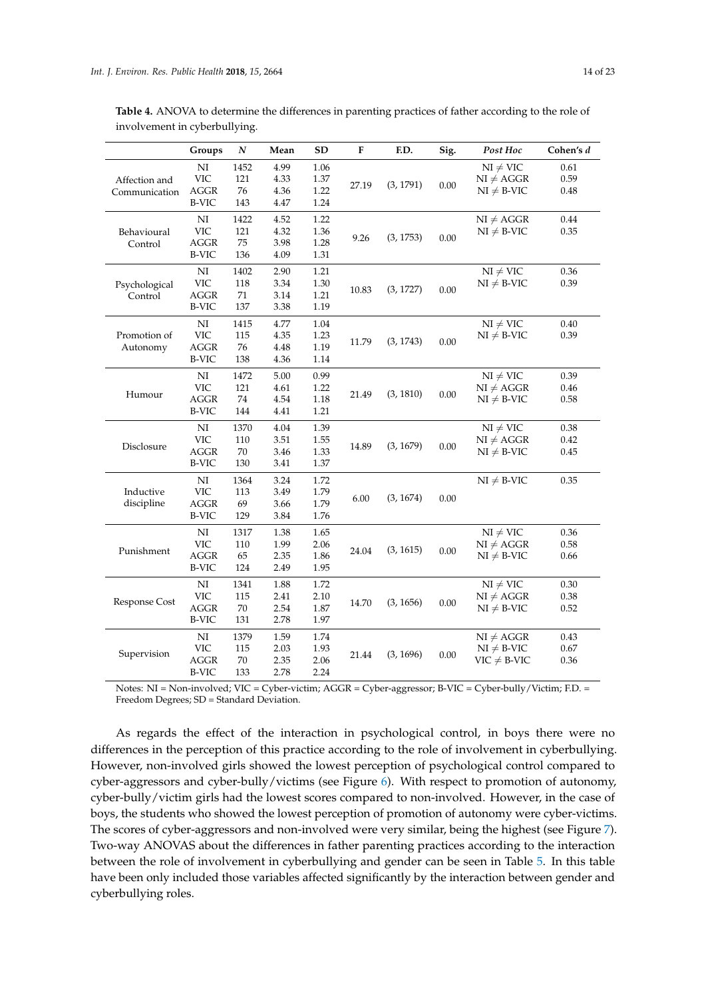|                                | Groups                                                              | N                        | Mean                         | SD                           | F     | F.D.      | Sig. | Post Hoc                                              | Cohen's d            |
|--------------------------------|---------------------------------------------------------------------|--------------------------|------------------------------|------------------------------|-------|-----------|------|-------------------------------------------------------|----------------------|
| Affection and<br>Communication | N <sub>I</sub><br><b>VIC</b><br><b>AGGR</b><br><b>B-VIC</b>         | 1452<br>121<br>76<br>143 | 4.99<br>4.33<br>4.36<br>4.47 | 1.06<br>1.37<br>1.22<br>1.24 | 27.19 | (3, 1791) | 0.00 | $NI \neq VIC$<br>$NI \neq AGGR$<br>$NI \neq B-VIC$    | 0.61<br>0.59<br>0.48 |
| Behavioural<br>Control         | NI<br><b>VIC</b><br><b>AGGR</b><br><b>B-VIC</b>                     | 1422<br>121<br>75<br>136 | 4.52<br>4.32<br>3.98<br>4.09 | 1.22<br>1.36<br>1.28<br>1.31 | 9.26  | (3, 1753) | 0.00 | $NI \neq AGGR$<br>$NI \neq B-VIC$                     | 0.44<br>0.35         |
| Psychological<br>Control       | N <sub>I</sub><br><b>VIC</b><br><b>AGGR</b><br><b>B-VIC</b>         | 1402<br>118<br>71<br>137 | 2.90<br>3.34<br>3.14<br>3.38 | 1.21<br>1.30<br>1.21<br>1.19 | 10.83 | (3, 1727) | 0.00 | $NI \neq VIC$<br>$NI \neq B-VIC$                      | 0.36<br>0.39         |
| Promotion of<br>Autonomy       | $\mathbf{N}\mathbf{I}$<br><b>VIC</b><br>AGGR<br><b>B-VIC</b>        | 1415<br>115<br>76<br>138 | 4.77<br>4.35<br>4.48<br>4.36 | 1.04<br>1.23<br>1.19<br>1.14 | 11.79 | (3, 1743) | 0.00 | $NI \neq VIC$<br>$NI \neq B-VIC$                      | 0.40<br>0.39         |
| Humour                         | NI<br><b>VIC</b><br>AGGR<br><b>B-VIC</b>                            | 1472<br>121<br>74<br>144 | 5.00<br>4.61<br>4.54<br>4.41 | 0.99<br>1.22<br>1.18<br>1.21 | 21.49 | (3, 1810) | 0.00 | $NI \neq VIC$<br>$NI \neq AGGR$<br>$NI \neq B-VIC$    | 0.39<br>0.46<br>0.58 |
| Disclosure                     | $\mathbf{N}\mathbf{I}$<br><b>VIC</b><br><b>AGGR</b><br>B-VIC        | 1370<br>110<br>70<br>130 | 4.04<br>3.51<br>3.46<br>3.41 | 1.39<br>1.55<br>1.33<br>1.37 | 14.89 | (3, 1679) | 0.00 | $NI \neq VIC$<br>$NI \neq AGGR$<br>$NI \neq B-VIC$    | 0.38<br>0.42<br>0.45 |
| Inductive<br>discipline        | NI<br><b>VIC</b><br>AGGR<br><b>B-VIC</b>                            | 1364<br>113<br>69<br>129 | 3.24<br>3.49<br>3.66<br>3.84 | 1.72<br>1.79<br>1.79<br>1.76 | 6.00  | (3, 1674) | 0.00 | $NI \neq B-VIC$                                       | 0.35                 |
| Punishment                     | $\mathbf{N}\mathbf{I}$<br><b>VIC</b><br><b>AGGR</b><br><b>B-VIC</b> | 1317<br>110<br>65<br>124 | 1.38<br>1.99<br>2.35<br>2.49 | 1.65<br>2.06<br>1.86<br>1.95 | 24.04 | (3, 1615) | 0.00 | $NI \neq VIC$<br>$NI \neq AGGR$<br>$NI \neq B-VIC$    | 0.36<br>0.58<br>0.66 |
| Response Cost                  | N <sub>I</sub><br><b>VIC</b><br>AGGR<br>B-VIC                       | 1341<br>115<br>70<br>131 | 1.88<br>2.41<br>2.54<br>2.78 | 1.72<br>2.10<br>1.87<br>1.97 | 14.70 | (3, 1656) | 0.00 | $NI \neq VIC$<br>$NI \neq AGGR$<br>$NI \neq B-VIC$    | 0.30<br>0.38<br>0.52 |
| Supervision                    | NI<br><b>VIC</b><br>AGGR<br><b>B-VIC</b>                            | 1379<br>115<br>70<br>133 | 1.59<br>2.03<br>2.35<br>2.78 | 1.74<br>1.93<br>2.06<br>2.24 | 21.44 | (3, 1696) | 0.00 | $NI \neq AGGR$<br>$NI \neq B-VIC$<br>$VIC \neq B-VIC$ | 0.43<br>0.67<br>0.36 |

<span id="page-13-0"></span>**Table 4.** ANOVA to determine the differences in parenting practices of father according to the role of involvement in cyberbullying.

Notes: NI = Non-involved; VIC = Cyber-victim; AGGR = Cyber-aggressor; B-VIC = Cyber-bully/Victim; F.D. = Freedom Degrees; SD = Standard Deviation.

As regards the effect of the interaction in psychological control, in boys there were no differences in the perception of this practice according to the role of involvement in cyberbullying. However, non-involved girls showed the lowest perception of psychological control compared to cyber-aggressors and cyber-bully/victims (see Figure [6\)](#page-14-1). With respect to promotion of autonomy, cyber-bully/victim girls had the lowest scores compared to non-involved. However, in the case of boys, the students who showed the lowest perception of promotion of autonomy were cyber-victims. The scores of cyber-aggressors and non-involved were very similar, being the highest (see Figure [7\)](#page-15-0). Two-way ANOVAS about the differences in father parenting practices according to the interaction between the role of involvement in cyberbullying and gender can be seen in Table [5.](#page-14-0) In this table have been only included those variables affected significantly by the interaction between gender and cyberbullying roles.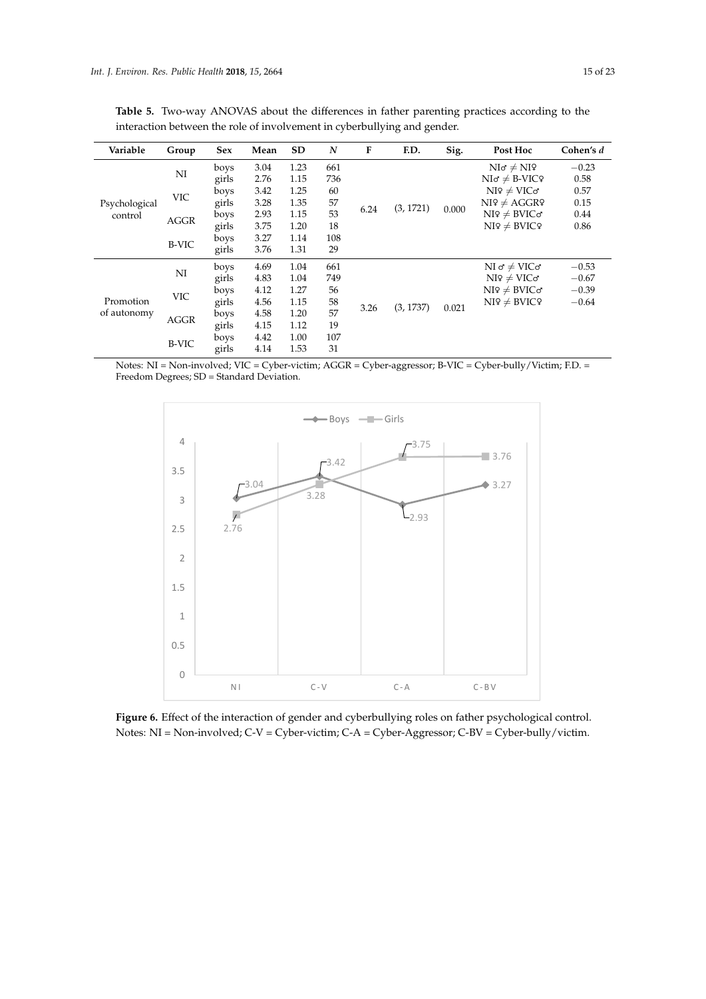| Variable      | Group        | <b>Sex</b> | Mean | <b>SD</b> | N   | F    | F.D.      | Sig.  | Post Hoc                           | Cohen's d |
|---------------|--------------|------------|------|-----------|-----|------|-----------|-------|------------------------------------|-----------|
|               |              | boys       | 3.04 | 1.23      | 661 |      | (3, 1721) |       | $NI\sigma \neq NI\Omega$           | $-0.23$   |
|               | NI           | girls      | 2.76 | 1.15      | 736 |      |           |       | $NI\sigma \neq B-VI\text{C}\Omega$ | 0.58      |
|               |              | boys       | 3.42 | 1.25      | 60  | 6.24 |           | 0.000 | $NI9 \neq VIC\sigma$               | 0.57      |
| Psychological | <b>VIC</b>   | girls      | 3.28 | 1.35      | 57  |      |           |       | $NI9 \neq AGGR9$                   | 0.15      |
| control       |              | boys       | 2.93 | 1.15      | 53  |      |           |       | $NI9 \neq BVIC$ ơ                  | 0.44      |
|               | <b>AGGR</b>  | girls      | 3.75 | 1.20      | 18  |      |           |       | $NI9 \neq BVIC9$                   | 0.86      |
|               | <b>B-VIC</b> | boys       | 3.27 | 1.14      | 108 |      |           |       |                                    |           |
|               |              | girls      | 3.76 | 1.31      | 29  |      |           |       |                                    |           |
|               |              | boys       | 4.69 | 1.04      | 661 |      |           |       | $NI \circ \neq VI C \circ$         | $-0.53$   |
|               | NI           | girls      | 4.83 | 1.04      | 749 |      |           |       | $NI9 \neq VIC\sigma$               | $-0.67$   |
|               |              | boys       | 4.12 | 1.27      | 56  |      |           |       | $NI9 \neq BVIC$ ơ                  | $-0.39$   |
| Promotion     | <b>VIC</b>   | girls      | 4.56 | 1.15      | 58  |      |           |       | $NI9 \neq BVIC9$                   | $-0.64$   |
| of autonomy   |              | boys       | 4.58 | 1.20      | 57  | 3.26 | (3, 1737) | 0.021 |                                    |           |
|               | AGGR         | girls      | 4.15 | 1.12      | 19  |      |           |       |                                    |           |
|               |              | boys       | 4.42 | 1.00      | 107 |      |           |       |                                    |           |
|               | <b>B-VIC</b> | girls      | 4.14 | 1.53      | 31  |      |           |       |                                    |           |

<span id="page-14-0"></span>**Table 5.** Two-way ANOVAS about the differences in father parenting practices according to the interaction between the role of involvement in cyberbullying and gender. **Table 5.** Two-way AlvOVAS about the unterences in father parenting

<span id="page-14-1"></span>Notes: NI = Non-involved; VIC = Cyber-victim; AGGR = Cyber-aggressor; B-VIC = Cyber-bully/Victim; F.D. = Notes: NI = Non-involved; VIC = Cyber-victim; AGGR = Cyber-aggressor; B-VIC = Cyber-bully/Victim; F.D. = Freedom Degrees; SD = Standard Deviation. Freedom Degrees; SD = Standard Deviation.



**Figure 6.** Effect of the interaction of gender and cyberbullying roles on father psychological control. **Figure 6.** Effect of the interaction of gender and cyberbullying roles on father psychological control. Notes: NI = Non-involved; C-V = Cyber-victim; C-A = Cyber-Aggressor; C-BV = Cyber-bully/victim. Notes: NI = Non-involved; C-V = Cyber-victim; C-A = Cyber-Aggressor; C-BV = Cyber-bully/victim.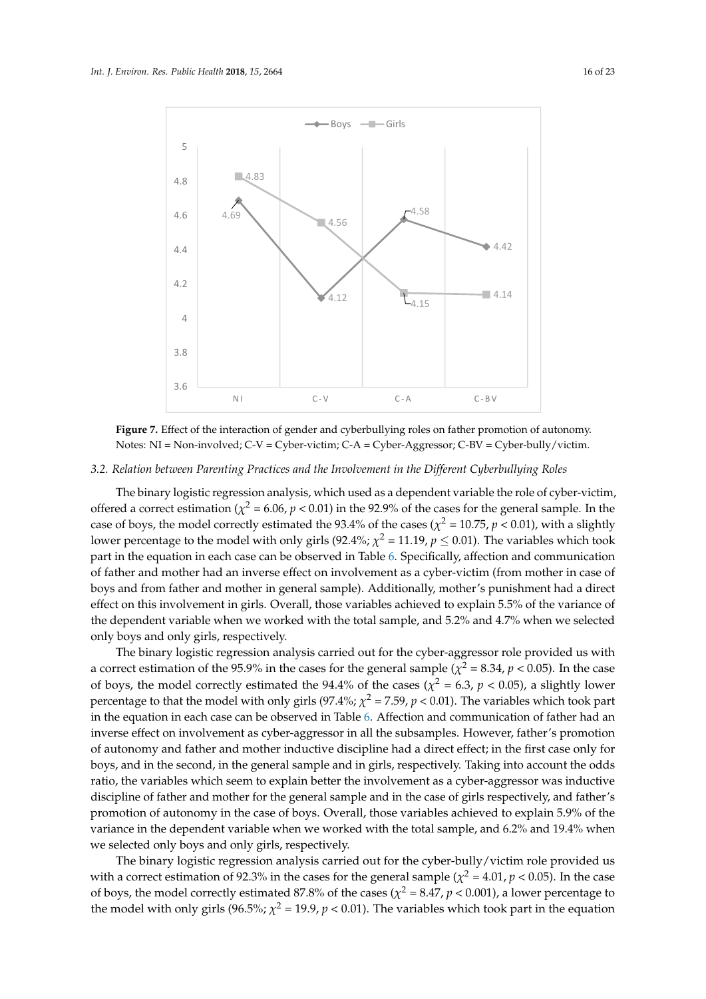<span id="page-15-0"></span>

**Figure 7.** Effect of the interaction of gender and cyberbullying roles on father promotion of autonomy. **Figure 7.** Effect of the interaction of gender and cyberbullying roles on father promotion of autonomy.<br>Notes: NI = Non-involved; C-V = Cyber-victim; C-A = Cyber-Aggressor; C-BV = Cyber-bully/victim.

# *3.2. Relation between Parenting Practices and the Involvement in the Different Cyberbullying Roles. 3.2. Relation between Parenting Practices and the Involvement in the Different Cyberbullying Roles*

The binary logistic regression analysis, which used as a dependent variable the role of cyber-The binary logistic regression analysis, which used as a dependent variable the role of cyber-victim, offered a correct estimation ( $\chi^2$  = 6.06, *p* < 0.01) in the 92.9% of the cases for the general sample. In the case of boys, the model correctly estimated the 93.4% of the cases ( $\chi^2$  = 10.75, *p* < 0.01), with a slightly lower percentage to the model with only girls (92.4%;  $\chi^2$  = 11.19,  $p \leq 0.01$ ). The variables which took part in the equation in each case can be observed in Table [6.](#page-16-0) Specifically, affection and communication of father and mother had an inverse effect on involvement as a cyber-victim (from mother in case of boys and from father and mother in general sample). Additionally, mother's punishment had a direct effect on this involvement in girls. Overall, those variables achieved to explain 5.5% of the variance of the dependent variable when we worked with the total sample, and 5.2% and 4.7% when we selected 5.2% and 4.7% when we selected only boys and only girls, respectively. only boys and only girls, respectively.

The binary logistic regression analysis carried out for the cyber-aggressor role provided us with The binary logistic regression analysis carried out for the cyber-aggressor role provided us with a correct estimation of the 95.9% in the cases for the general sample ( $\chi^2$  = 8.34,  $p$  < 0.05). In the case of boys, the model correctly estimated the 94.4% of the cases ( $\chi^2$  = 6.3,  $p$  < 0.05), a slightly lower percentage to that the model with only girls (97.4%;  $\chi^2$  = 7.59,  $p$  < 0.01). The variables which took part in the equation in each case can be observed in Table 6. Affection and communication of father had in the equation in each case can be observed in Table [6.](#page-16-0) Affection and communication of father had an inverse effect on involvement as cyber-aggressor in all the subsamples. However, father's promotion of autonomy and father and mother inductive discipline had a direct effect; in the first case only for boys, and in the second, in the general sample and in girls, respectively. Taking into account the odds ratio, the variables which seem to explain better the involvement as a cyber-aggressor was inductive discipline of father and mother for the general sample and in the case of girls respectively, and father's promotion of autonomy in the case of boys. Overall, those variables achieved to explain 5.9% of the variance in the dependent variable when we worked with the total sample, and 6.2% and 19.4% when we selected only boys and only girls, respectively.

The binary logistic regression analysis carried out for the cyber-bully/victim role provided us The binary logistic regression analysis carried out for the cyber-bully/victim role provided us with a correct estimation of 92.3% in the cases for the general sample ( $\chi^2$  = 4.01,  $p$  < 0.05). In the case of boys, the model correctly estimated 87.8% of the cases ( $\chi^2$  = 8.47,  $p$  < 0.001), a lower percentage to the model with only girls (96.5%;  $\chi^2$  = 19.9,  $p$  < 0.01). The variables which took part in the equation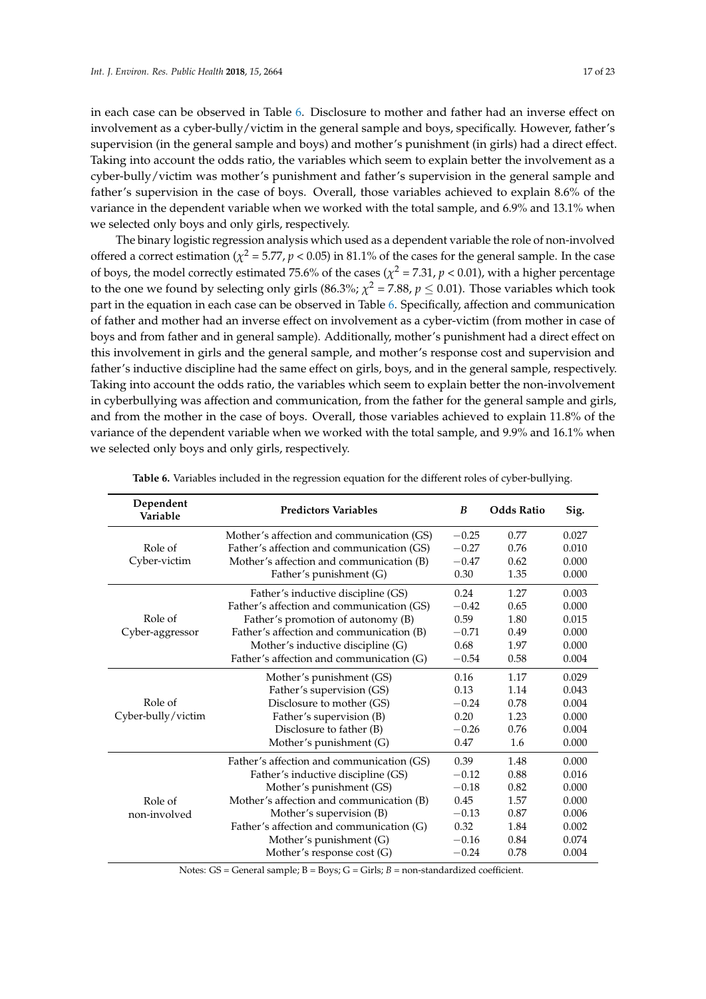in each case can be observed in Table [6.](#page-16-0) Disclosure to mother and father had an inverse effect on involvement as a cyber-bully/victim in the general sample and boys, specifically. However, father's supervision (in the general sample and boys) and mother's punishment (in girls) had a direct effect. Taking into account the odds ratio, the variables which seem to explain better the involvement as a cyber-bully/victim was mother's punishment and father's supervision in the general sample and father's supervision in the case of boys. Overall, those variables achieved to explain 8.6% of the variance in the dependent variable when we worked with the total sample, and 6.9% and 13.1% when we selected only boys and only girls, respectively.

The binary logistic regression analysis which used as a dependent variable the role of non-involved offered a correct estimation ( $\chi^2$  = 5.77,  $p$  < 0.05) in 81.1% of the cases for the general sample. In the case of boys, the model correctly estimated 75.6% of the cases ( $\chi^2$  = 7.31,  $p$  < 0.01), with a higher percentage to the one we found by selecting only girls (86.3%;  $\chi^2$  = 7.88,  $p \leq 0.01$ ). Those variables which took part in the equation in each case can be observed in Table [6.](#page-16-0) Specifically, affection and communication of father and mother had an inverse effect on involvement as a cyber-victim (from mother in case of boys and from father and in general sample). Additionally, mother's punishment had a direct effect on this involvement in girls and the general sample, and mother's response cost and supervision and father's inductive discipline had the same effect on girls, boys, and in the general sample, respectively. Taking into account the odds ratio, the variables which seem to explain better the non-involvement in cyberbullying was affection and communication, from the father for the general sample and girls, and from the mother in the case of boys. Overall, those variables achieved to explain 11.8% of the variance of the dependent variable when we worked with the total sample, and 9.9% and 16.1% when we selected only boys and only girls, respectively.

<span id="page-16-0"></span>

| Dependent<br>Variable | <b>Predictors Variables</b>               | B       | <b>Odds Ratio</b> | Sig.  |
|-----------------------|-------------------------------------------|---------|-------------------|-------|
|                       | Mother's affection and communication (GS) | $-0.25$ | 0.77              | 0.027 |
| Role of               | Father's affection and communication (GS) | $-0.27$ | 0.76              | 0.010 |
| Cyber-victim          | Mother's affection and communication (B)  | $-0.47$ | 0.62              | 0.000 |
|                       | Father's punishment (G)                   | 0.30    | 1.35              | 0.000 |
|                       | Father's inductive discipline (GS)        | 0.24    | 1.27              | 0.003 |
|                       | Father's affection and communication (GS) | $-0.42$ | 0.65              | 0.000 |
| Role of               | Father's promotion of autonomy (B)        | 0.59    | 1.80              | 0.015 |
| Cyber-aggressor       | Father's affection and communication (B)  | $-0.71$ | 0.49              | 0.000 |
|                       | Mother's inductive discipline (G)         | 0.68    | 1.97              | 0.000 |
|                       | Father's affection and communication (G)  | $-0.54$ | 0.58              | 0.004 |
|                       | Mother's punishment (GS)                  | 0.16    | 1.17              | 0.029 |
|                       | Father's supervision (GS)                 | 0.13    | 1.14              | 0.043 |
| Role of               | Disclosure to mother (GS)                 | $-0.24$ | 0.78              | 0.004 |
| Cyber-bully/victim    | Father's supervision (B)                  | 0.20    | 1.23              | 0.000 |
|                       | Disclosure to father (B)                  | $-0.26$ | 0.76              | 0.004 |
|                       | Mother's punishment (G)                   | 0.47    | 1.6               | 0.000 |
|                       | Father's affection and communication (GS) | 0.39    | 1.48              | 0.000 |
|                       | Father's inductive discipline (GS)        | $-0.12$ | 0.88              | 0.016 |
|                       | Mother's punishment (GS)                  | $-0.18$ | 0.82              | 0.000 |
| Role of               | Mother's affection and communication (B)  | 0.45    | 1.57              | 0.000 |
| non-involved          | Mother's supervision (B)                  | $-0.13$ | 0.87              | 0.006 |
|                       | Father's affection and communication (G)  | 0.32    | 1.84              | 0.002 |
|                       | Mother's punishment (G)                   | $-0.16$ | 0.84              | 0.074 |
|                       | Mother's response cost (G)                | $-0.24$ | 0.78              | 0.004 |

**Table 6.** Variables included in the regression equation for the different roles of cyber-bullying.

Notes: GS = General sample; B = Boys; G = Girls; *B* = non-standardized coefficient.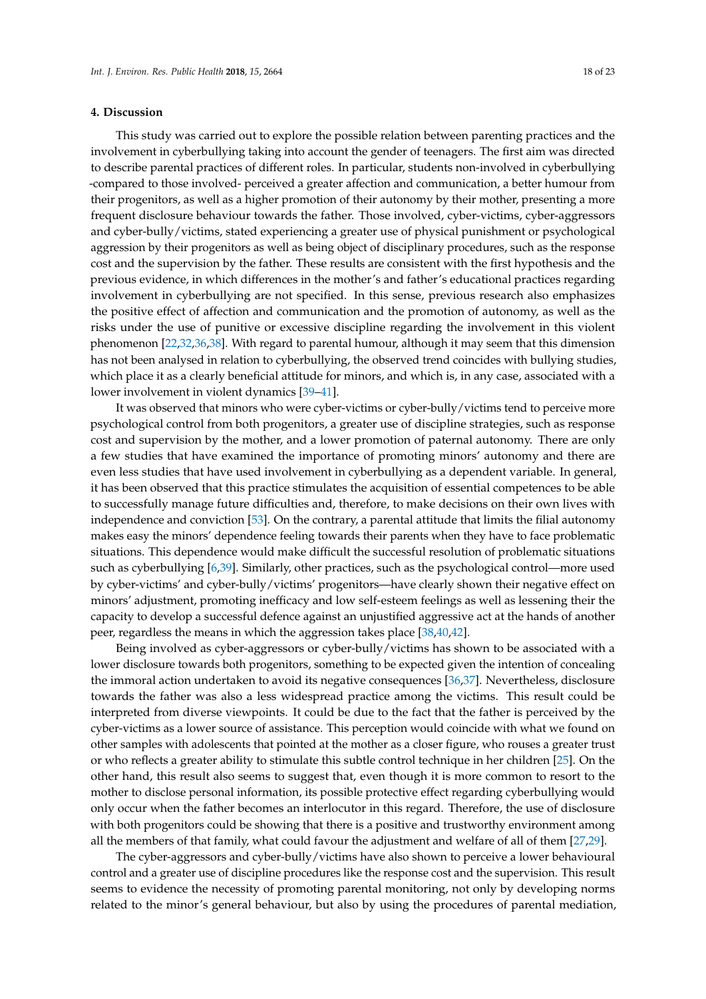#### **4. Discussion**

This study was carried out to explore the possible relation between parenting practices and the involvement in cyberbullying taking into account the gender of teenagers. The first aim was directed to describe parental practices of different roles. In particular, students non-involved in cyberbullying -compared to those involved- perceived a greater affection and communication, a better humour from their progenitors, as well as a higher promotion of their autonomy by their mother, presenting a more frequent disclosure behaviour towards the father. Those involved, cyber-victims, cyber-aggressors and cyber-bully/victims, stated experiencing a greater use of physical punishment or psychological aggression by their progenitors as well as being object of disciplinary procedures, such as the response cost and the supervision by the father. These results are consistent with the first hypothesis and the previous evidence, in which differences in the mother's and father's educational practices regarding involvement in cyberbullying are not specified. In this sense, previous research also emphasizes the positive effect of affection and communication and the promotion of autonomy, as well as the risks under the use of punitive or excessive discipline regarding the involvement in this violent phenomenon [\[22](#page-21-10)[,32](#page-21-12)[,36,](#page-21-17)[38\]](#page-21-19). With regard to parental humour, although it may seem that this dimension has not been analysed in relation to cyberbullying, the observed trend coincides with bullying studies, which place it as a clearly beneficial attitude for minors, and which is, in any case, associated with a lower involvement in violent dynamics [\[39](#page-21-20)[–41\]](#page-22-0).

It was observed that minors who were cyber-victims or cyber-bully/victims tend to perceive more psychological control from both progenitors, a greater use of discipline strategies, such as response cost and supervision by the mother, and a lower promotion of paternal autonomy. There are only a few studies that have examined the importance of promoting minors' autonomy and there are even less studies that have used involvement in cyberbullying as a dependent variable. In general, it has been observed that this practice stimulates the acquisition of essential competences to be able to successfully manage future difficulties and, therefore, to make decisions on their own lives with independence and conviction [\[53\]](#page-22-12). On the contrary, a parental attitude that limits the filial autonomy makes easy the minors' dependence feeling towards their parents when they have to face problematic situations. This dependence would make difficult the successful resolution of problematic situations such as cyberbullying [\[6,](#page-20-5)[39\]](#page-21-20). Similarly, other practices, such as the psychological control—more used by cyber-victims' and cyber-bully/victims' progenitors—have clearly shown their negative effect on minors' adjustment, promoting inefficacy and low self-esteem feelings as well as lessening their the capacity to develop a successful defence against an unjustified aggressive act at the hands of another peer, regardless the means in which the aggression takes place [\[38](#page-21-19)[,40,](#page-21-21)[42\]](#page-22-1).

Being involved as cyber-aggressors or cyber-bully/victims has shown to be associated with a lower disclosure towards both progenitors, something to be expected given the intention of concealing the immoral action undertaken to avoid its negative consequences [\[36](#page-21-17)[,37\]](#page-21-18). Nevertheless, disclosure towards the father was also a less widespread practice among the victims. This result could be interpreted from diverse viewpoints. It could be due to the fact that the father is perceived by the cyber-victims as a lower source of assistance. This perception would coincide with what we found on other samples with adolescents that pointed at the mother as a closer figure, who rouses a greater trust or who reflects a greater ability to stimulate this subtle control technique in her children [\[25\]](#page-21-6). On the other hand, this result also seems to suggest that, even though it is more common to resort to the mother to disclose personal information, its possible protective effect regarding cyberbullying would only occur when the father becomes an interlocutor in this regard. Therefore, the use of disclosure with both progenitors could be showing that there is a positive and trustworthy environment among all the members of that family, what could favour the adjustment and welfare of all of them [\[27](#page-21-8)[,29\]](#page-21-9).

The cyber-aggressors and cyber-bully/victims have also shown to perceive a lower behavioural control and a greater use of discipline procedures like the response cost and the supervision. This result seems to evidence the necessity of promoting parental monitoring, not only by developing norms related to the minor's general behaviour, but also by using the procedures of parental mediation,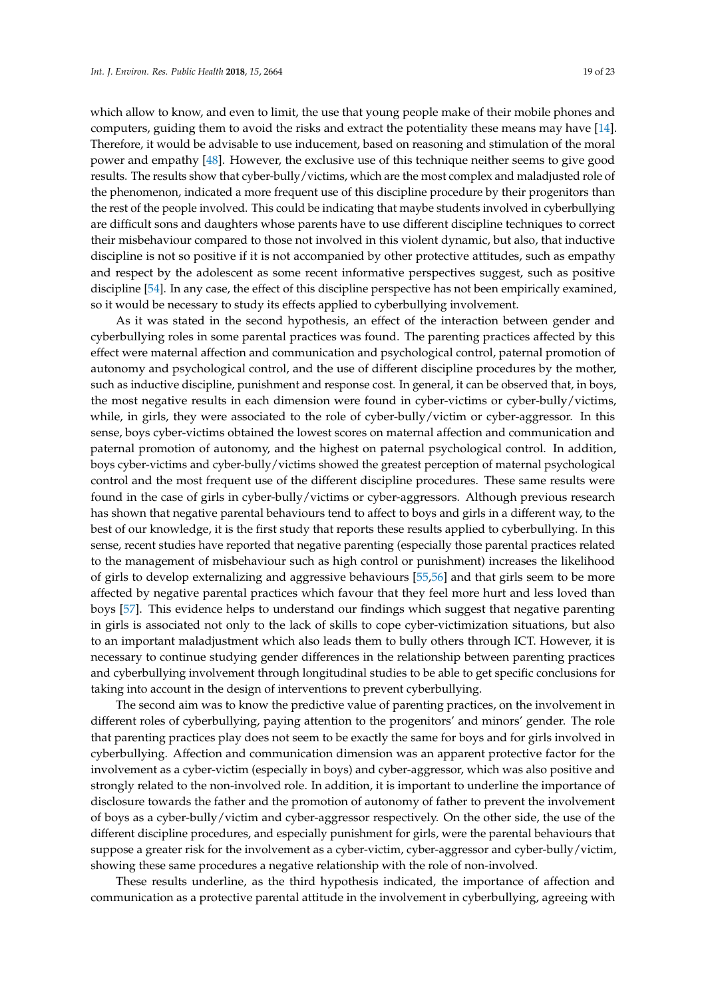which allow to know, and even to limit, the use that young people make of their mobile phones and computers, guiding them to avoid the risks and extract the potentiality these means may have [\[14\]](#page-20-13). Therefore, it would be advisable to use inducement, based on reasoning and stimulation of the moral power and empathy [\[48\]](#page-22-7). However, the exclusive use of this technique neither seems to give good results. The results show that cyber-bully/victims, which are the most complex and maladjusted role of the phenomenon, indicated a more frequent use of this discipline procedure by their progenitors than the rest of the people involved. This could be indicating that maybe students involved in cyberbullying are difficult sons and daughters whose parents have to use different discipline techniques to correct their misbehaviour compared to those not involved in this violent dynamic, but also, that inductive discipline is not so positive if it is not accompanied by other protective attitudes, such as empathy and respect by the adolescent as some recent informative perspectives suggest, such as positive discipline [\[54\]](#page-22-13). In any case, the effect of this discipline perspective has not been empirically examined, so it would be necessary to study its effects applied to cyberbullying involvement.

As it was stated in the second hypothesis, an effect of the interaction between gender and cyberbullying roles in some parental practices was found. The parenting practices affected by this effect were maternal affection and communication and psychological control, paternal promotion of autonomy and psychological control, and the use of different discipline procedures by the mother, such as inductive discipline, punishment and response cost. In general, it can be observed that, in boys, the most negative results in each dimension were found in cyber-victims or cyber-bully/victims, while, in girls, they were associated to the role of cyber-bully/victim or cyber-aggressor. In this sense, boys cyber-victims obtained the lowest scores on maternal affection and communication and paternal promotion of autonomy, and the highest on paternal psychological control. In addition, boys cyber-victims and cyber-bully/victims showed the greatest perception of maternal psychological control and the most frequent use of the different discipline procedures. These same results were found in the case of girls in cyber-bully/victims or cyber-aggressors. Although previous research has shown that negative parental behaviours tend to affect to boys and girls in a different way, to the best of our knowledge, it is the first study that reports these results applied to cyberbullying. In this sense, recent studies have reported that negative parenting (especially those parental practices related to the management of misbehaviour such as high control or punishment) increases the likelihood of girls to develop externalizing and aggressive behaviours [\[55](#page-22-14)[,56\]](#page-22-15) and that girls seem to be more affected by negative parental practices which favour that they feel more hurt and less loved than boys [\[57\]](#page-22-16). This evidence helps to understand our findings which suggest that negative parenting in girls is associated not only to the lack of skills to cope cyber-victimization situations, but also to an important maladjustment which also leads them to bully others through ICT. However, it is necessary to continue studying gender differences in the relationship between parenting practices and cyberbullying involvement through longitudinal studies to be able to get specific conclusions for taking into account in the design of interventions to prevent cyberbullying.

The second aim was to know the predictive value of parenting practices, on the involvement in different roles of cyberbullying, paying attention to the progenitors' and minors' gender. The role that parenting practices play does not seem to be exactly the same for boys and for girls involved in cyberbullying. Affection and communication dimension was an apparent protective factor for the involvement as a cyber-victim (especially in boys) and cyber-aggressor, which was also positive and strongly related to the non-involved role. In addition, it is important to underline the importance of disclosure towards the father and the promotion of autonomy of father to prevent the involvement of boys as a cyber-bully/victim and cyber-aggressor respectively. On the other side, the use of the different discipline procedures, and especially punishment for girls, were the parental behaviours that suppose a greater risk for the involvement as a cyber-victim, cyber-aggressor and cyber-bully/victim, showing these same procedures a negative relationship with the role of non-involved.

These results underline, as the third hypothesis indicated, the importance of affection and communication as a protective parental attitude in the involvement in cyberbullying, agreeing with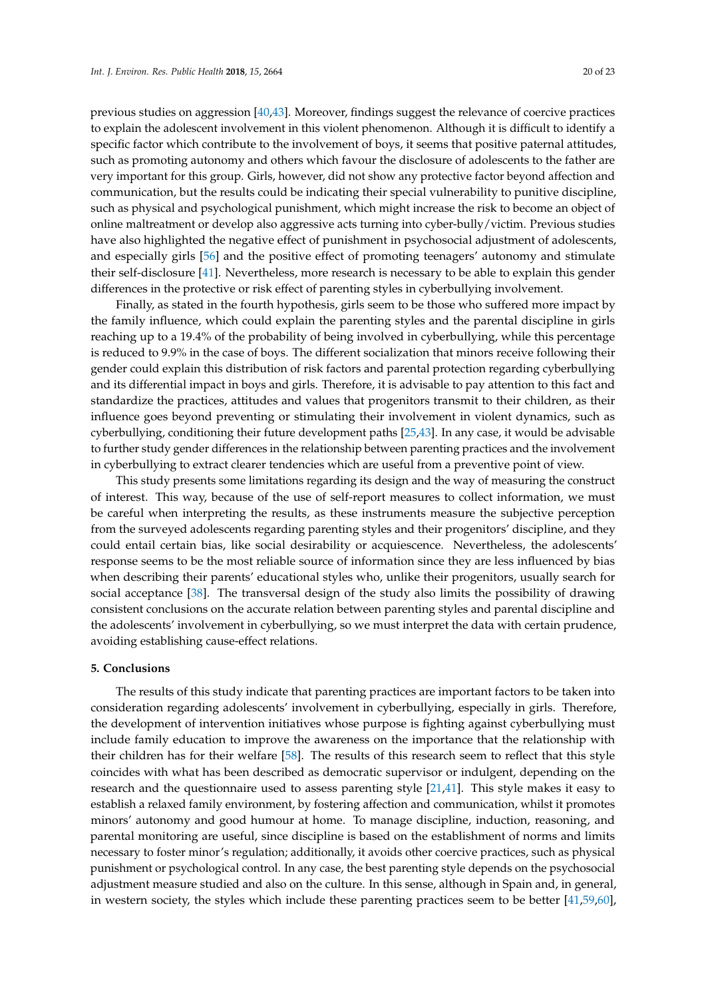previous studies on aggression [\[40](#page-21-21)[,43\]](#page-22-2). Moreover, findings suggest the relevance of coercive practices to explain the adolescent involvement in this violent phenomenon. Although it is difficult to identify a specific factor which contribute to the involvement of boys, it seems that positive paternal attitudes, such as promoting autonomy and others which favour the disclosure of adolescents to the father are very important for this group. Girls, however, did not show any protective factor beyond affection and communication, but the results could be indicating their special vulnerability to punitive discipline, such as physical and psychological punishment, which might increase the risk to become an object of online maltreatment or develop also aggressive acts turning into cyber-bully/victim. Previous studies have also highlighted the negative effect of punishment in psychosocial adjustment of adolescents, and especially girls [\[56\]](#page-22-15) and the positive effect of promoting teenagers' autonomy and stimulate their self-disclosure [\[41\]](#page-22-0). Nevertheless, more research is necessary to be able to explain this gender differences in the protective or risk effect of parenting styles in cyberbullying involvement.

Finally, as stated in the fourth hypothesis, girls seem to be those who suffered more impact by the family influence, which could explain the parenting styles and the parental discipline in girls reaching up to a 19.4% of the probability of being involved in cyberbullying, while this percentage is reduced to 9.9% in the case of boys. The different socialization that minors receive following their gender could explain this distribution of risk factors and parental protection regarding cyberbullying and its differential impact in boys and girls. Therefore, it is advisable to pay attention to this fact and standardize the practices, attitudes and values that progenitors transmit to their children, as their influence goes beyond preventing or stimulating their involvement in violent dynamics, such as cyberbullying, conditioning their future development paths [\[25,](#page-21-6)[43\]](#page-22-2). In any case, it would be advisable to further study gender differences in the relationship between parenting practices and the involvement in cyberbullying to extract clearer tendencies which are useful from a preventive point of view.

This study presents some limitations regarding its design and the way of measuring the construct of interest. This way, because of the use of self-report measures to collect information, we must be careful when interpreting the results, as these instruments measure the subjective perception from the surveyed adolescents regarding parenting styles and their progenitors' discipline, and they could entail certain bias, like social desirability or acquiescence. Nevertheless, the adolescents' response seems to be the most reliable source of information since they are less influenced by bias when describing their parents' educational styles who, unlike their progenitors, usually search for social acceptance [\[38\]](#page-21-19). The transversal design of the study also limits the possibility of drawing consistent conclusions on the accurate relation between parenting styles and parental discipline and the adolescents' involvement in cyberbullying, so we must interpret the data with certain prudence, avoiding establishing cause-effect relations.

#### **5. Conclusions**

The results of this study indicate that parenting practices are important factors to be taken into consideration regarding adolescents' involvement in cyberbullying, especially in girls. Therefore, the development of intervention initiatives whose purpose is fighting against cyberbullying must include family education to improve the awareness on the importance that the relationship with their children has for their welfare [\[58\]](#page-22-17). The results of this research seem to reflect that this style coincides with what has been described as democratic supervisor or indulgent, depending on the research and the questionnaire used to assess parenting style [\[21](#page-21-4)[,41\]](#page-22-0). This style makes it easy to establish a relaxed family environment, by fostering affection and communication, whilst it promotes minors' autonomy and good humour at home. To manage discipline, induction, reasoning, and parental monitoring are useful, since discipline is based on the establishment of norms and limits necessary to foster minor's regulation; additionally, it avoids other coercive practices, such as physical punishment or psychological control. In any case, the best parenting style depends on the psychosocial adjustment measure studied and also on the culture. In this sense, although in Spain and, in general, in western society, the styles which include these parenting practices seem to be better [\[41,](#page-22-0)[59,](#page-22-18)[60\]](#page-22-19),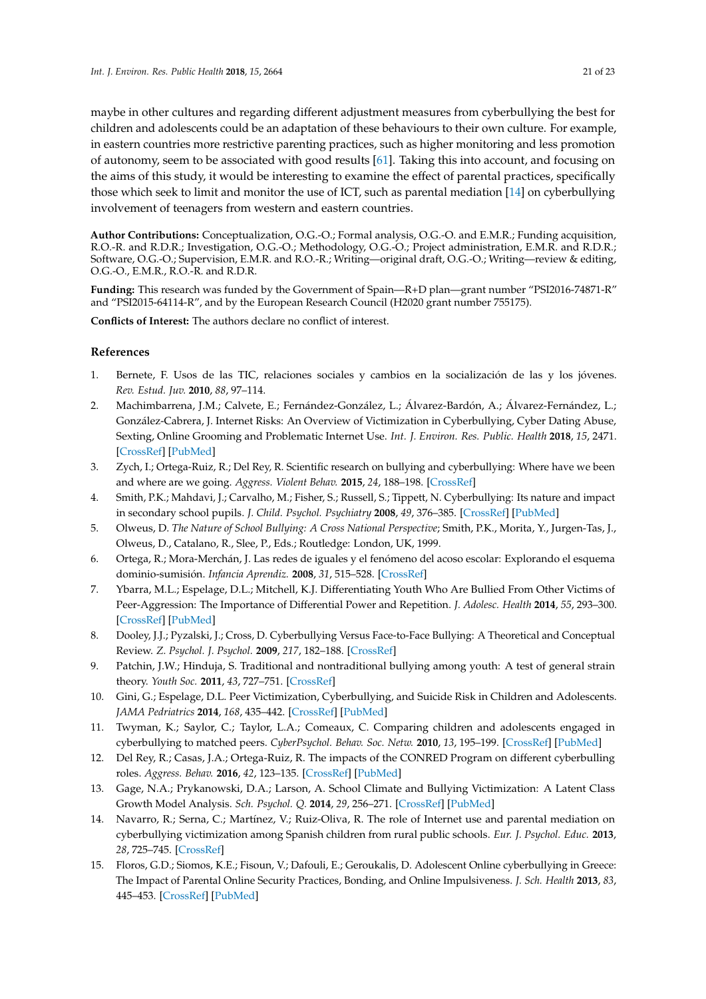maybe in other cultures and regarding different adjustment measures from cyberbullying the best for children and adolescents could be an adaptation of these behaviours to their own culture. For example, in eastern countries more restrictive parenting practices, such as higher monitoring and less promotion of autonomy, seem to be associated with good results [\[61\]](#page-22-20). Taking this into account, and focusing on the aims of this study, it would be interesting to examine the effect of parental practices, specifically those which seek to limit and monitor the use of ICT, such as parental mediation [\[14\]](#page-20-13) on cyberbullying involvement of teenagers from western and eastern countries.

**Author Contributions:** Conceptualization, O.G.-O.; Formal analysis, O.G.-O. and E.M.R.; Funding acquisition, R.O.-R. and R.D.R.; Investigation, O.G.-O.; Methodology, O.G.-O.; Project administration, E.M.R. and R.D.R.; Software, O.G.-O.; Supervision, E.M.R. and R.O.-R.; Writing—original draft, O.G.-O.; Writing—review & editing, O.G.-O., E.M.R., R.O.-R. and R.D.R.

**Funding:** This research was funded by the Government of Spain—R+D plan—grant number "PSI2016-74871-R" and "PSI2015-64114-R", and by the European Research Council (H2020 grant number 755175).

**Conflicts of Interest:** The authors declare no conflict of interest.

# **References**

- <span id="page-20-0"></span>1. Bernete, F. Usos de las TIC, relaciones sociales y cambios en la socialización de las y los jóvenes. *Rev. Estud. Juv.* **2010**, *88*, 97–114.
- <span id="page-20-1"></span>2. Machimbarrena, J.M.; Calvete, E.; Fernández-González, L.; Álvarez-Bardón, A.; Álvarez-Fernández, L.; González-Cabrera, J. Internet Risks: An Overview of Victimization in Cyberbullying, Cyber Dating Abuse, Sexting, Online Grooming and Problematic Internet Use. *Int. J. Environ. Res. Public. Health* **2018**, *15*, 2471. [\[CrossRef\]](http://dx.doi.org/10.3390/ijerph15112471) [\[PubMed\]](http://www.ncbi.nlm.nih.gov/pubmed/30400659)
- <span id="page-20-2"></span>3. Zych, I.; Ortega-Ruiz, R.; Del Rey, R. Scientific research on bullying and cyberbullying: Where have we been and where are we going. *Aggress. Violent Behav.* **2015**, *24*, 188–198. [\[CrossRef\]](http://dx.doi.org/10.1016/j.avb.2015.05.015)
- <span id="page-20-3"></span>4. Smith, P.K.; Mahdavi, J.; Carvalho, M.; Fisher, S.; Russell, S.; Tippett, N. Cyberbullying: Its nature and impact in secondary school pupils. *J. Child. Psychol. Psychiatry* **2008**, *49*, 376–385. [\[CrossRef\]](http://dx.doi.org/10.1111/j.1469-7610.2007.01846.x) [\[PubMed\]](http://www.ncbi.nlm.nih.gov/pubmed/18363945)
- <span id="page-20-4"></span>5. Olweus, D. *The Nature of School Bullying: A Cross National Perspective*; Smith, P.K., Morita, Y., Jurgen-Tas, J., Olweus, D., Catalano, R., Slee, P., Eds.; Routledge: London, UK, 1999.
- <span id="page-20-5"></span>6. Ortega, R.; Mora-Merchán, J. Las redes de iguales y el fenómeno del acoso escolar: Explorando el esquema dominio-sumisión. *Infancia Aprendiz.* **2008**, *31*, 515–528. [\[CrossRef\]](http://dx.doi.org/10.1174/021037008786140922)
- <span id="page-20-6"></span>7. Ybarra, M.L.; Espelage, D.L.; Mitchell, K.J. Differentiating Youth Who Are Bullied From Other Victims of Peer-Aggression: The Importance of Differential Power and Repetition. *J. Adolesc. Health* **2014**, *55*, 293–300. [\[CrossRef\]](http://dx.doi.org/10.1016/j.jadohealth.2014.02.009) [\[PubMed\]](http://www.ncbi.nlm.nih.gov/pubmed/24726463)
- <span id="page-20-7"></span>8. Dooley, J.J.; Pyzalski, J.; Cross, D. Cyberbullying Versus Face-to-Face Bullying: A Theoretical and Conceptual Review. *Z. Psychol. J. Psychol.* **2009**, *217*, 182–188. [\[CrossRef\]](http://dx.doi.org/10.1027/0044-3409.217.4.182)
- <span id="page-20-8"></span>9. Patchin, J.W.; Hinduja, S. Traditional and nontraditional bullying among youth: A test of general strain theory. *Youth Soc.* **2011**, *43*, 727–751. [\[CrossRef\]](http://dx.doi.org/10.1177/0044118X10366951)
- <span id="page-20-9"></span>10. Gini, G.; Espelage, D.L. Peer Victimization, Cyberbullying, and Suicide Risk in Children and Adolescents. *JAMA Pedriatrics* **2014**, *168*, 435–442. [\[CrossRef\]](http://dx.doi.org/10.1001/jama.2014.3212) [\[PubMed\]](http://www.ncbi.nlm.nih.gov/pubmed/25096695)
- <span id="page-20-10"></span>11. Twyman, K.; Saylor, C.; Taylor, L.A.; Comeaux, C. Comparing children and adolescents engaged in cyberbullying to matched peers. *CyberPsychol. Behav. Soc. Netw.* **2010**, *13*, 195–199. [\[CrossRef\]](http://dx.doi.org/10.1089/cyber.2009.0137) [\[PubMed\]](http://www.ncbi.nlm.nih.gov/pubmed/20528278)
- <span id="page-20-11"></span>12. Del Rey, R.; Casas, J.A.; Ortega-Ruiz, R. The impacts of the CONRED Program on different cyberbulling roles. *Aggress. Behav.* **2016**, *42*, 123–135. [\[CrossRef\]](http://dx.doi.org/10.1002/ab.21608) [\[PubMed\]](http://www.ncbi.nlm.nih.gov/pubmed/26351131)
- <span id="page-20-12"></span>13. Gage, N.A.; Prykanowski, D.A.; Larson, A. School Climate and Bullying Victimization: A Latent Class Growth Model Analysis. *Sch. Psychol. Q.* **2014**, *29*, 256–271. [\[CrossRef\]](http://dx.doi.org/10.1037/spq0000064) [\[PubMed\]](http://www.ncbi.nlm.nih.gov/pubmed/24933216)
- <span id="page-20-13"></span>14. Navarro, R.; Serna, C.; Martínez, V.; Ruiz-Oliva, R. The role of Internet use and parental mediation on cyberbullying victimization among Spanish children from rural public schools. *Eur. J. Psychol. Educ.* **2013**, *28*, 725–745. [\[CrossRef\]](http://dx.doi.org/10.1007/s10212-012-0137-2)
- <span id="page-20-14"></span>15. Floros, G.D.; Siomos, K.E.; Fisoun, V.; Dafouli, E.; Geroukalis, D. Adolescent Online cyberbullying in Greece: The Impact of Parental Online Security Practices, Bonding, and Online Impulsiveness. *J. Sch. Health* **2013**, *83*, 445–453. [\[CrossRef\]](http://dx.doi.org/10.1111/josh.12049) [\[PubMed\]](http://www.ncbi.nlm.nih.gov/pubmed/23586890)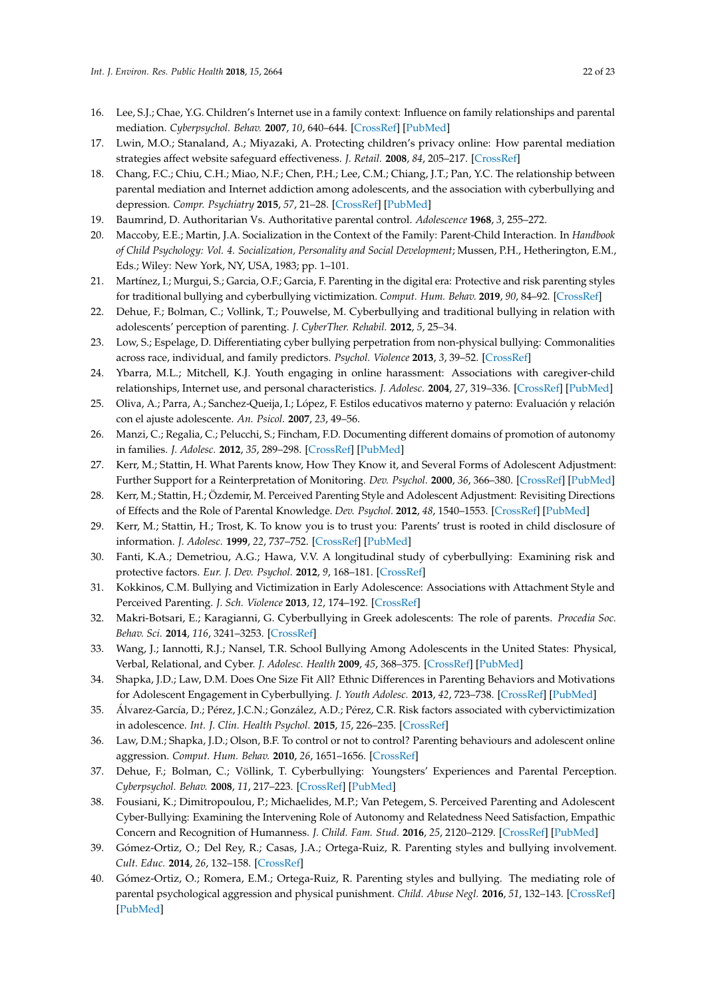- 16. Lee, S.J.; Chae, Y.G. Children's Internet use in a family context: Influence on family relationships and parental mediation. *Cyberpsychol. Behav.* **2007**, *10*, 640–644. [\[CrossRef\]](http://dx.doi.org/10.1089/cpb.2007.9975) [\[PubMed\]](http://www.ncbi.nlm.nih.gov/pubmed/17927531)
- <span id="page-21-0"></span>17. Lwin, M.O.; Stanaland, A.; Miyazaki, A. Protecting children's privacy online: How parental mediation strategies affect website safeguard effectiveness. *J. Retail.* **2008**, *84*, 205–217. [\[CrossRef\]](http://dx.doi.org/10.1016/j.jretai.2008.04.004)
- <span id="page-21-1"></span>18. Chang, F.C.; Chiu, C.H.; Miao, N.F.; Chen, P.H.; Lee, C.M.; Chiang, J.T.; Pan, Y.C. The relationship between parental mediation and Internet addiction among adolescents, and the association with cyberbullying and depression. *Compr. Psychiatry* **2015**, *57*, 21–28. [\[CrossRef\]](http://dx.doi.org/10.1016/j.comppsych.2014.11.013) [\[PubMed\]](http://www.ncbi.nlm.nih.gov/pubmed/25487108)
- <span id="page-21-2"></span>19. Baumrind, D. Authoritarian Vs. Authoritative parental control. *Adolescence* **1968**, *3*, 255–272.
- <span id="page-21-3"></span>20. Maccoby, E.E.; Martin, J.A. Socialization in the Context of the Family: Parent-Child Interaction. In *Handbook of Child Psychology: Vol. 4. Socialization, Personality and Social Development*; Mussen, P.H., Hetherington, E.M., Eds.; Wiley: New York, NY, USA, 1983; pp. 1–101.
- <span id="page-21-4"></span>21. Martínez, I.; Murgui, S.; Garcia, O.F.; Garcia, F. Parenting in the digital era: Protective and risk parenting styles for traditional bullying and cyberbullying victimization. *Comput. Hum. Behav.* **2019**, *90*, 84–92. [\[CrossRef\]](http://dx.doi.org/10.1016/j.chb.2018.08.036)
- <span id="page-21-10"></span>22. Dehue, F.; Bolman, C.; Vollink, T.; Pouwelse, M. Cyberbullying and traditional bullying in relation with adolescents' perception of parenting. *J. CyberTher. Rehabil.* **2012**, *5*, 25–34.
- <span id="page-21-13"></span>23. Low, S.; Espelage, D. Differentiating cyber bullying perpetration from non-physical bullying: Commonalities across race, individual, and family predictors. *Psychol. Violence* **2013**, *3*, 39–52. [\[CrossRef\]](http://dx.doi.org/10.1037/a0030308)
- <span id="page-21-5"></span>24. Ybarra, M.L.; Mitchell, K.J. Youth engaging in online harassment: Associations with caregiver-child relationships, Internet use, and personal characteristics. *J. Adolesc.* **2004**, *27*, 319–336. [\[CrossRef\]](http://dx.doi.org/10.1016/j.adolescence.2004.03.007) [\[PubMed\]](http://www.ncbi.nlm.nih.gov/pubmed/15159091)
- <span id="page-21-6"></span>25. Oliva, A.; Parra, A.; Sanchez-Queija, I.; López, F. Estilos educativos materno y paterno: Evaluación y relación con el ajuste adolescente. *An. Psicol.* **2007**, *23*, 49–56.
- <span id="page-21-7"></span>26. Manzi, C.; Regalia, C.; Pelucchi, S.; Fincham, F.D. Documenting different domains of promotion of autonomy in families. *J. Adolesc.* **2012**, *35*, 289–298. [\[CrossRef\]](http://dx.doi.org/10.1016/j.adolescence.2011.10.011) [\[PubMed\]](http://www.ncbi.nlm.nih.gov/pubmed/22078669)
- <span id="page-21-8"></span>27. Kerr, M.; Stattin, H. What Parents know, How They Know it, and Several Forms of Adolescent Adjustment: Further Support for a Reinterpretation of Monitoring. *Dev. Psychol.* **2000**, *36*, 366–380. [\[CrossRef\]](http://dx.doi.org/10.1037/0012-1649.36.3.366) [\[PubMed\]](http://www.ncbi.nlm.nih.gov/pubmed/10830980)
- 28. Kerr, M.; Stattin, H.; Özdemir, M. Perceived Parenting Style and Adolescent Adjustment: Revisiting Directions of Effects and the Role of Parental Knowledge. *Dev. Psychol.* **2012**, *48*, 1540–1553. [\[CrossRef\]](http://dx.doi.org/10.1037/a0027720) [\[PubMed\]](http://www.ncbi.nlm.nih.gov/pubmed/22448987)
- <span id="page-21-9"></span>29. Kerr, M.; Stattin, H.; Trost, K. To know you is to trust you: Parents' trust is rooted in child disclosure of information. *J. Adolesc.* **1999**, *22*, 737–752. [\[CrossRef\]](http://dx.doi.org/10.1006/jado.1999.0266) [\[PubMed\]](http://www.ncbi.nlm.nih.gov/pubmed/10579887)
- <span id="page-21-11"></span>30. Fanti, K.A.; Demetriou, A.G.; Hawa, V.V. A longitudinal study of cyberbullying: Examining risk and protective factors. *Eur. J. Dev. Psychol.* **2012**, *9*, 168–181. [\[CrossRef\]](http://dx.doi.org/10.1080/17405629.2011.643169)
- 31. Kokkinos, C.M. Bullying and Victimization in Early Adolescence: Associations with Attachment Style and Perceived Parenting. *J. Sch. Violence* **2013**, *12*, 174–192. [\[CrossRef\]](http://dx.doi.org/10.1080/15388220.2013.766134)
- <span id="page-21-12"></span>32. Makri-Botsari, E.; Karagianni, G. Cyberbullying in Greek adolescents: The role of parents. *Procedia Soc. Behav. Sci.* **2014**, *116*, 3241–3253. [\[CrossRef\]](http://dx.doi.org/10.1016/j.sbspro.2014.01.742)
- <span id="page-21-14"></span>33. Wang, J.; Iannotti, R.J.; Nansel, T.R. School Bullying Among Adolescents in the United States: Physical, Verbal, Relational, and Cyber. *J. Adolesc. Health* **2009**, *45*, 368–375. [\[CrossRef\]](http://dx.doi.org/10.1016/j.jadohealth.2009.03.021) [\[PubMed\]](http://www.ncbi.nlm.nih.gov/pubmed/19766941)
- <span id="page-21-15"></span>34. Shapka, J.D.; Law, D.M. Does One Size Fit All? Ethnic Differences in Parenting Behaviors and Motivations for Adolescent Engagement in Cyberbullying. *J. Youth Adolesc.* **2013**, *42*, 723–738. [\[CrossRef\]](http://dx.doi.org/10.1007/s10964-013-9928-2) [\[PubMed\]](http://www.ncbi.nlm.nih.gov/pubmed/23479327)
- <span id="page-21-16"></span>35. Álvarez-García, D.; Pérez, J.C.N.; González, A.D.; Pérez, C.R. Risk factors associated with cybervictimization in adolescence. *Int. J. Clin. Health Psychol.* **2015**, *15*, 226–235. [\[CrossRef\]](http://dx.doi.org/10.1016/j.ijchp.2015.03.002)
- <span id="page-21-17"></span>36. Law, D.M.; Shapka, J.D.; Olson, B.F. To control or not to control? Parenting behaviours and adolescent online aggression. *Comput. Hum. Behav.* **2010**, *26*, 1651–1656. [\[CrossRef\]](http://dx.doi.org/10.1016/j.chb.2010.06.013)
- <span id="page-21-18"></span>37. Dehue, F.; Bolman, C.; Völlink, T. Cyberbullying: Youngsters' Experiences and Parental Perception. *Cyberpsychol. Behav.* **2008**, *11*, 217–223. [\[CrossRef\]](http://dx.doi.org/10.1089/cpb.2007.0008) [\[PubMed\]](http://www.ncbi.nlm.nih.gov/pubmed/18422417)
- <span id="page-21-19"></span>38. Fousiani, K.; Dimitropoulou, P.; Michaelides, M.P.; Van Petegem, S. Perceived Parenting and Adolescent Cyber-Bullying: Examining the Intervening Role of Autonomy and Relatedness Need Satisfaction, Empathic Concern and Recognition of Humanness. *J. Child. Fam. Stud.* **2016**, *25*, 2120–2129. [\[CrossRef\]](http://dx.doi.org/10.1007/s10826-016-0401-1) [\[PubMed\]](http://www.ncbi.nlm.nih.gov/pubmed/27375346)
- <span id="page-21-20"></span>39. Gómez-Ortiz, O.; Del Rey, R.; Casas, J.A.; Ortega-Ruiz, R. Parenting styles and bullying involvement. *Cult. Educ.* **2014**, *26*, 132–158. [\[CrossRef\]](http://dx.doi.org/10.1080/11356405.2014.908665)
- <span id="page-21-21"></span>40. Gómez-Ortiz, O.; Romera, E.M.; Ortega-Ruiz, R. Parenting styles and bullying. The mediating role of parental psychological aggression and physical punishment. *Child. Abuse Negl.* **2016**, *51*, 132–143. [\[CrossRef\]](http://dx.doi.org/10.1016/j.chiabu.2015.10.025) [\[PubMed\]](http://www.ncbi.nlm.nih.gov/pubmed/26598076)